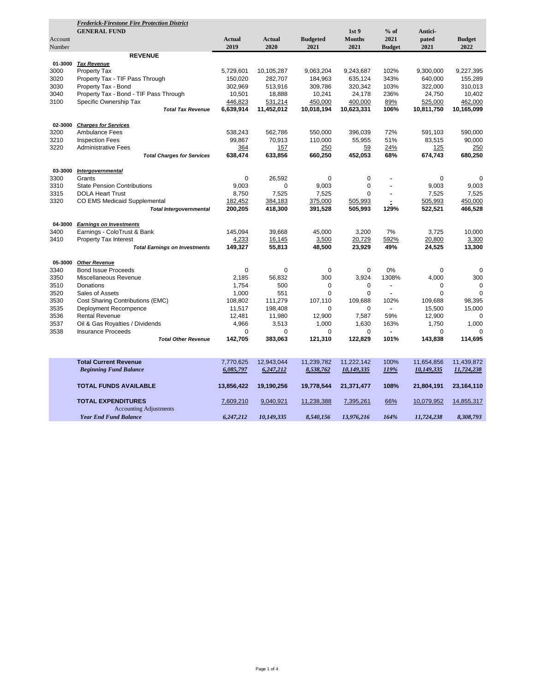|         | <b>Frederick-Firestone Fire Protection District</b> |               |               |                 |                  |                          |             |               |
|---------|-----------------------------------------------------|---------------|---------------|-----------------|------------------|--------------------------|-------------|---------------|
|         | <b>GENERAL FUND</b>                                 |               |               |                 | 1st <sub>9</sub> | $%$ of                   | Antici-     |               |
| Account |                                                     | <b>Actual</b> | <b>Actual</b> | <b>Budgeted</b> | <b>Months</b>    | 2021                     | pated       | <b>Budget</b> |
| Number  |                                                     | 2019          | 2020          | 2021            | 2021             | <b>Budget</b>            | 2021        | 2022          |
|         | <b>REVENUE</b>                                      |               |               |                 |                  |                          |             |               |
| 01-3000 | <b>Tax Revenue</b>                                  |               |               |                 |                  |                          |             |               |
| 3000    | <b>Property Tax</b>                                 | 5,729,601     | 10,105,287    | 9,063,204       | 9,243,687        | 102%                     | 9,300,000   | 9,227,395     |
| 3020    | Property Tax - TIF Pass Through                     | 150,020       | 282,707       | 184,963         | 635,124          | 343%                     | 640,000     | 155,289       |
| 3030    | Property Tax - Bond                                 | 302,969       | 513,916       | 309,786         | 320,342          | 103%                     | 322,000     | 310,013       |
| 3040    | Property Tax - Bond - TIF Pass Through              | 10,501        | 18,888        | 10,241          | 24,178           | 236%                     | 24,750      | 10,402        |
| 3100    | Specific Ownership Tax                              | 446,823       | 531,214       | 450,000         | 400,000          | 89%                      | 525,000     | 462,000       |
|         | <b>Total Tax Revenue</b>                            | 6,639,914     | 11,452,012    | 10,018,194      | 10,623,331       | 106%                     | 10,811,750  | 10,165,099    |
|         |                                                     |               |               |                 |                  |                          |             |               |
| 02-3000 | <b>Charges for Services</b>                         |               |               |                 |                  |                          |             |               |
| 3200    | <b>Ambulance Fees</b>                               | 538,243       | 562,786       | 550,000         | 396,039          | 72%                      | 591,103     | 590,000       |
| 3210    | <b>Inspection Fees</b>                              | 99.867        | 70,913        | 110,000         | 55,955           | 51%                      | 83.515      | 90.000        |
| 3220    | <b>Administrative Fees</b>                          | 364           | 157           | 250             | 59               | 24%                      | 125         | 250           |
|         | <b>Total Charges for Services</b>                   | 638,474       | 633,856       | 660,250         | 452,053          | 68%                      | 674,743     | 680,250       |
|         |                                                     |               |               |                 |                  |                          |             |               |
| 03-3000 | Intergovernmental                                   |               |               |                 |                  |                          |             |               |
| 3300    | Grants                                              | $\Omega$      | 26,592        | $\Omega$        | 0                |                          | $\Omega$    | $\mathbf 0$   |
| 3310    | <b>State Pension Contributions</b>                  | 9.003         | $\Omega$      | 9,003           | $\mathbf 0$      | ٠                        | 9.003       | 9,003         |
| 3315    | <b>DOLA Heart Trust</b>                             | 8,750         | 7,525         | 7,525           | 0                | $\overline{\phantom{a}}$ | 7,525       | 7,525         |
| 3320    | CO EMS Medicaid Supplemental                        | 182,452       | 384,183       | 375,000         | 505,993          |                          | 505,993     | 450,000       |
|         | <b>Total Intergovernmental</b>                      | 200,205       | 418,300       | 391,528         | 505,993          | 129%                     | 522,521     | 466,528       |
| 04-3000 | <b>Earnings on Investments</b>                      |               |               |                 |                  |                          |             |               |
| 3400    | Earnings - ColoTrust & Bank                         | 145,094       | 39,668        | 45,000          | 3,200            | 7%                       | 3,725       | 10,000        |
| 3410    | <b>Property Tax Interest</b>                        | 4,233         | 16,145        | 3,500           | 20,729           | 592%                     | 20,800      | 3,300         |
|         | <b>Total Earnings on Investments</b>                | 149,327       | 55,813        | 48,500          | 23,929           | 49%                      | 24,525      | 13,300        |
| 05-3000 | <b>Other Revenue</b>                                |               |               |                 |                  |                          |             |               |
| 3340    | <b>Bond Issue Proceeds</b>                          | $\mathbf 0$   | $\mathbf 0$   | $\mathbf 0$     | $\mathbf 0$      | 0%                       | $\mathbf 0$ | $\mathbf 0$   |
| 3350    | Miscellaneous Revenue                               | 2.185         | 56,832        | 300             | 3,924            | 1308%                    | 4.000       | 300           |
| 3510    | Donations                                           | 1,754         | 500           | 0               | 0                | $\blacksquare$           | 0           | $\mathbf 0$   |
| 3520    | Sales of Assets                                     | 1,000         | 551           | $\Omega$        | 0                | $\overline{a}$           | $\Omega$    | $\Omega$      |
| 3530    | Cost Sharing Contributions (EMC)                    | 108,802       | 111,279       | 107,110         | 109,688          | 102%                     | 109,688     | 98,395        |
| 3535    | Deployment Recompence                               | 11,517        | 198,408       | 0               | 0                | $\blacksquare$           | 15,500      | 15,000        |
| 3536    | <b>Rental Revenue</b>                               | 12,481        | 11,980        | 12,900          | 7,587            | 59%                      | 12,900      | $\Omega$      |
| 3537    | Oil & Gas Royalties / Dividends                     | 4,966         | 3,513         | 1,000           | 1,630            | 163%                     | 1,750       | 1,000         |
| 3538    | <b>Insurance Proceeds</b>                           | 0             | $\mathbf 0$   | 0               | 0                | $\overline{a}$           | 0           | $\mathbf 0$   |
|         | <b>Total Other Revenue</b>                          | 142,705       | 383,063       | 121,310         | 122,829          | 101%                     | 143,838     | 114,695       |
|         |                                                     |               |               |                 |                  |                          |             |               |
|         | <b>Total Current Revenue</b>                        | 7,770,625     | 12,943,044    | 11,239,782      | 11,222,142       | 100%                     | 11,654,856  | 11,439,872    |
|         | <b>Beginning Fund Balance</b>                       | 6,085,797     | 6,247,212     | 8,538,762       | 10,149,335       | 119%                     | 10,149,335  | 11,724,238    |
|         | <b>TOTAL FUNDS AVAILABLE</b>                        |               |               |                 |                  | 108%                     |             |               |
|         |                                                     | 13,856,422    | 19,190,256    | 19,778,544      | 21,371,477       |                          | 21,804,191  | 23,164,110    |
|         | <b>TOTAL EXPENDITURES</b>                           | 7,609,210     | 9,040,921     | 11,238,388      | 7,395,261        | 66%                      | 10,079,952  | 14,855,317    |
|         | <b>Accounting Adjustments</b>                       |               |               |                 |                  |                          |             |               |
|         | <b>Year End Fund Balance</b>                        | 6,247,212     | 10,149,335    | 8,540,156       | 13,976,216       | 164%                     | 11,724,238  | 8,308,793     |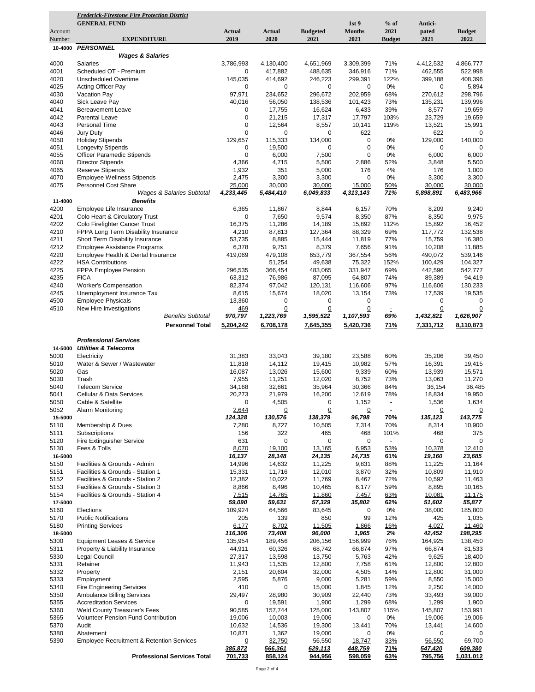| 2021<br><b>Budget</b><br><b>Actual</b><br><b>Actual</b><br><b>Budgeted</b><br><b>Months</b><br>pated<br>Account<br>2019<br>2020<br>2021<br>2021<br>2021<br>2022<br>Number<br><b>EXPENDITURE</b><br><b>Budget</b><br><b>PERSONNEL</b><br>10-4000<br><b>Wages &amp; Salaries</b><br>4000<br><b>Salaries</b><br>3,786,993<br>4,130,400<br>4,651,969<br>3,309,399<br>71%<br>4,412,532<br>4,866,777<br>Scheduled OT - Premium<br>4001<br>417,882<br>488,635<br>346,916<br>71%<br>462,555<br>522,998<br>0<br>4020<br><b>Unscheduled Overtime</b><br>145,035<br>246,223<br>299,391<br>122%<br>399,188<br>408,396<br>414,692<br>4025<br>Acting Officer Pay<br>0%<br>0<br>0<br>0<br>0<br>0<br>5,894<br>4030<br>Vacation Pay<br>97,971<br>234,652<br>296,672<br>202,959<br>68%<br>270,612<br>298,796<br>4040<br>Sick Leave Pay<br>40,016<br>56,050<br>138,536<br>73%<br>135,231<br>139,996<br>101,423<br>4041<br>0<br>17,755<br>16,624<br>6,433<br>39%<br>8,577<br>19,659<br><b>Bereavement Leave</b><br>4042<br><b>Parental Leave</b><br>0<br>21,215<br>17,317<br>17,797<br>103%<br>23,729<br>19,659<br>4043<br>Personal Time<br>0<br>12,564<br>8,557<br>10,141<br>119%<br>13,521<br>15,991<br>0<br>622<br>4046<br><b>Jury Duty</b><br>0<br>0<br>622<br>$\mathbf 0$<br>$\blacksquare$<br>129,657<br>134,000<br>0%<br>129,000<br>4050<br><b>Holiday Stipends</b><br>115,333<br>0<br>140,000<br>4051<br><b>Longevity Stipends</b><br>19,500<br>0<br>0%<br>0<br>0<br>0<br>0<br>4055<br><b>Officer Paramedic Stipends</b><br>0<br>0<br>0%<br>6,000<br>6,000<br>6,000<br>7,500<br>4060<br><b>Director Stipends</b><br>4,366<br>4,715<br>5,500<br>2,886<br>52%<br>5,500<br>3,848<br>4065<br><b>Reserve Stipends</b><br>1,932<br>351<br>5,000<br>176<br>4%<br>1,000<br>176<br>4070<br>0%<br><b>Employee Wellness Stipends</b><br>2,475<br>3,300<br>3,300<br>0<br>3,300<br>3,300<br>4075<br>Personnel Cost Share<br>25,000<br>30,000<br>30,000<br>15,000<br>50%<br>30,000<br>30,000<br><b>Wages &amp; Salaries Subtotal</b><br>4,233,445<br>6,049,833<br>4,313,143<br>71%<br>5,898,891<br>6,483,966<br>5,484,410<br><b>Benefits</b><br>11-4000<br>4200<br>Employee Life Insurance<br>6,365<br>8,844<br>70%<br>8,209<br>9,240<br>11,867<br>6,157<br>Colo Heart & Circulatory Trust<br>7,650<br>8,350<br>87%<br>9,975<br>4201<br>0<br>9,574<br>8,350<br>4202<br>Colo Firefighter Cancer Trust<br>16,375<br>11,286<br>15,892<br>112%<br>15,892<br>16,452<br>14,189<br>4210<br>FPPA Long Term Disability Insurance<br>4,210<br>87,813<br>88,329<br>69%<br>117,772<br>132,538<br>127,364<br>4211<br>Short Term Disability Insurance<br>53,735<br>8,885<br>11,819<br>77%<br>15,759<br>16,380<br>15,444<br>4212<br><b>Employee Assistance Programs</b><br>6,378<br>9,751<br>8,379<br>7,656<br>91%<br>10,208<br>11,885<br>4220<br>Employee Health & Dental Insurance<br>419,069<br>479,108<br>367,554<br>56%<br>490,072<br>539,146<br>653,779<br>4222<br><b>HSA Contributions</b><br>51,254<br>49,638<br>75,322<br>152%<br>100,429<br>104,327<br>4225<br>FPPA Employee Pension<br>296,535<br>366,454<br>331,947<br>69%<br>442,596<br>542,777<br>483,065<br>4235<br><b>FICA</b><br>63,312<br>76,986<br>87,095<br>64,807<br>74%<br>89,389<br>94,419<br>4240<br><b>Worker's Compensation</b><br>82,374<br>97,042<br>120,131<br>116,606<br>97%<br>116,606<br>130,233<br>4245<br>Unemployment Insurance Tax<br>8,615<br>15,674<br>18,020<br>13,154<br>73%<br>17,539<br>19,535<br>4500<br><b>Employee Physicals</b><br>13,360<br>0<br>0<br>0<br>0<br>0<br>$\overline{\phantom{a}}$<br>4510<br>New Hire Investigations<br>0<br>0<br>0<br>469<br>0<br>0<br>$\ddot{=}$<br><b>Benefits Subtotal</b><br>970,797<br>1,223,769<br>1,595,522<br>1,432,821<br>1,626,907<br>1,107,593<br>69%<br><b>Personnel Total</b><br>5,204,242<br>6,708,178<br>7,645,355<br>5,420,736<br><b>71%</b><br>7,331,712<br>8,110,873<br><b>Professional Services</b><br><b>Utilities &amp; Telecoms</b><br>14-5000<br>5000<br>31,383<br>33,043<br>39,180<br>23,588<br>60%<br>35,206<br>39,450<br>Electricity<br>5010<br>Water & Sewer / Wastewater<br>11,818<br>14,112<br>19,415<br>10,982<br>57%<br>16,391<br>19,415<br>5020<br>Gas<br>16,087<br>13,026<br>15,600<br>9,339<br>60%<br>13,939<br>15,571<br>5030<br>Trash<br>7,955<br>11,251<br>12,020<br>8,752<br>73%<br>13,063<br>11,270<br>5040<br><b>Telecom Service</b><br>34,168<br>32,661<br>35,964<br>36,154<br>36,485<br>30,366<br>84%<br>5041<br>Cellular & Data Services<br>20,273<br>21,979<br>16,200<br>12,619<br>78%<br>18,834<br>19,950<br>1,634<br>5050<br>0<br>4,505<br>1,152<br>1,536<br>Cable & Satellite<br>0<br>5052<br>Alarm Monitoring<br>2,644<br>$\overline{0}$<br><u>0</u><br>$\overline{0}$<br>$\overline{0}$<br><u>0</u><br>124,328<br>130,576<br>138,379<br>96,798<br>70%<br>135, 123<br>143,775<br>15-5000<br>5110<br>Membership & Dues<br>7,280<br>8,727<br>10,505<br>7,314<br>70%<br>8,314<br>10,900<br>5111<br>Subscriptions<br>322<br>465<br>468<br>101%<br>468<br>375<br>156<br>5120<br>631<br>0<br>0<br>0<br>0<br><b>Fire Extinguisher Service</b><br>0<br>5130<br>Fees & Tolls<br>8,070<br>12,410<br>19,100<br>13,165<br>6,953<br>53%<br>10,378<br>16-5000<br>16,137<br>19,160<br>23,685<br>28,148<br>24,135<br>14,735<br>61%<br>14,996<br>14,632<br>11,225<br>9,831<br>88%<br>11,225<br>11,164<br>5150<br>Facilities & Grounds - Admin<br>10,809<br>5151<br>15,331<br>11,716<br>12,010<br>3,870<br>32%<br>11,910<br>Facilities & Grounds - Station 1<br>10,022<br>72%<br>5152<br>Facilities & Grounds - Station 2<br>12,382<br>11,769<br>8,467<br>10,592<br>11,463<br>8,895<br>5153<br>8,866<br>8,496<br>10,465<br>6,177<br>59%<br>10,165<br>Facilities & Grounds - Station 3<br>5154<br>Facilities & Grounds - Station 4<br>7,515<br>14,765<br>11,860<br>7,457<br>63%<br>10,081<br><u>11,175</u><br>59,090<br>59,631<br>57,329<br>35,802<br>62%<br>51,602<br>55,877<br>17-5000<br>5160<br>Elections<br>109,924<br>64,566<br>83,645<br>0<br>0%<br>38,000<br>185,800<br>5170<br><b>Public Notifications</b><br>205<br>139<br>850<br>99<br>12%<br>1,035<br>425<br>6,177<br>8,702<br>5180<br><b>Printing Services</b><br>11,505<br>1,866<br>16%<br>4,027<br>11,460<br>116,306<br>2%<br>73,408<br>96,000<br>42,452<br>198,295<br>18-5000<br>1,965<br>135,954<br>5300<br>Equipment Leases & Service<br>189,456<br>206,156<br>156,999<br>76%<br>164,925<br>138,450<br>44,911<br>97%<br>66,874<br>5311<br>Property & Liability Insurance<br>60,326<br>68,742<br>66,874<br>81,533<br>5330<br>Legal Council<br>27,317<br>13,598<br>13,750<br>5,763<br>42%<br>9,625<br>18,400<br>5331<br>Retainer<br>11,943<br>11,535<br>12,800<br>7,758<br>61%<br>12,800<br>12,800<br>5332<br>Property<br>2,151<br>20,604<br>32,000<br>4,505<br>14%<br>12,800<br>31,000<br>59%<br>5333<br>Employment<br>2,595<br>5,876<br>9,000<br>5,281<br>8,550<br>15,000<br>0<br>5340<br>410<br>15,000<br>1,845<br>12%<br>2,250<br>14,000<br><b>Fire Engineering Services</b><br>5350<br><b>Ambulance Billing Services</b><br>29,497<br>28,980<br>30,909<br>73%<br>33,493<br>39,000<br>22,440<br>5355<br><b>Accreditation Services</b><br>0<br>19,591<br>1,900<br>1,299<br>68%<br>1,299<br>1,900<br>157,744<br>5360<br><b>Weld County Treasurer's Fees</b><br>90,585<br>125,000<br>143,807<br>115%<br>145,807<br>153,991<br>5365<br>Volunteer Pension Fund Contribution<br>19,006<br>10,003<br>19,006<br>0%<br>19,006<br>19,006<br>0<br>5370<br>Audit<br>10,632<br>14,536<br>19,300<br>13,441<br>70%<br>13,441<br>14,600<br>5380<br>Abatement<br>10,871<br>1,362<br>19,000<br>0%<br>0<br>0<br>5390<br><b>Employee Recruitment &amp; Retention Services</b><br>32,750<br>56,550<br>33%<br>56,550<br>69,700<br>0<br>18,747<br>629,113<br><b>71%</b><br>609,380<br><u>385,872</u><br><u>566,361</u><br><u>448,759</u><br><u>547,420</u><br><b>Professional Services Total</b><br>701,733<br>858,124<br>944,956<br>598,059<br>63%<br>795,756<br>1,031,012 | <b>Frederick-Firestone Fire Protection District</b> |  |                  |        |         |  |
|------------------------------------------------------------------------------------------------------------------------------------------------------------------------------------------------------------------------------------------------------------------------------------------------------------------------------------------------------------------------------------------------------------------------------------------------------------------------------------------------------------------------------------------------------------------------------------------------------------------------------------------------------------------------------------------------------------------------------------------------------------------------------------------------------------------------------------------------------------------------------------------------------------------------------------------------------------------------------------------------------------------------------------------------------------------------------------------------------------------------------------------------------------------------------------------------------------------------------------------------------------------------------------------------------------------------------------------------------------------------------------------------------------------------------------------------------------------------------------------------------------------------------------------------------------------------------------------------------------------------------------------------------------------------------------------------------------------------------------------------------------------------------------------------------------------------------------------------------------------------------------------------------------------------------------------------------------------------------------------------------------------------------------------------------------------------------------------------------------------------------------------------------------------------------------------------------------------------------------------------------------------------------------------------------------------------------------------------------------------------------------------------------------------------------------------------------------------------------------------------------------------------------------------------------------------------------------------------------------------------------------------------------------------------------------------------------------------------------------------------------------------------------------------------------------------------------------------------------------------------------------------------------------------------------------------------------------------------------------------------------------------------------------------------------------------------------------------------------------------------------------------------------------------------------------------------------------------------------------------------------------------------------------------------------------------------------------------------------------------------------------------------------------------------------------------------------------------------------------------------------------------------------------------------------------------------------------------------------------------------------------------------------------------------------------------------------------------------------------------------------------------------------------------------------------------------------------------------------------------------------------------------------------------------------------------------------------------------------------------------------------------------------------------------------------------------------------------------------------------------------------------------------------------------------------------------------------------------------------------------------------------------------------------------------------------------------------------------------------------------------------------------------------------------------------------------------------------------------------------------------------------------------------------------------------------------------------------------------------------------------------------------------------------------------------------------------------------------------------------------------------------------------------------------------------------------------------------------------------------------------------------------------------------------------------------------------------------------------------------------------------------------------------------------------------------------------------------------------------------------------------------------------------------------------------------------------------------------------------------------------------------------------------------------------------------------------------------------------------------------------------------------------------------------------------------------------------------------------------------------------------------------------------------------------------------------------------------------------------------------------------------------------------------------------------------------------------------------------------------------------------------------------------------------------------------------------------------------------------------------------------------------------------------------------------------------------------------------------------------------------------------------------------------------------------------------------------------------------------------------------------------------------------------------------------------------------------------------------------------------------------------------------------------------------------------------------------------------------------------------------------------------------------------------------------------------------------------------------------------------------------------------------------------------------------------------------------------------------------------------------------------------------------------------------------------------------------------------------------------------------------------------------------------------------------------------------------------------------------------------------------------------------------------------------------------------------------------------------------------------------------------------------------------------------------------------------------------------------------------------------------------------------------------------------------------------------------------------------------------------------------------------------------------------------------------------------------------------------------------------------------------------------------------------------------------------------------------------------------------------------------------------------------------------------------------------------------------------------------------------------------------------------------------------------------------------------------------------------------------------------------------------------------------------------------------------------------------------------------------------------------------------------------------------------------------|-----------------------------------------------------|--|------------------|--------|---------|--|
|                                                                                                                                                                                                                                                                                                                                                                                                                                                                                                                                                                                                                                                                                                                                                                                                                                                                                                                                                                                                                                                                                                                                                                                                                                                                                                                                                                                                                                                                                                                                                                                                                                                                                                                                                                                                                                                                                                                                                                                                                                                                                                                                                                                                                                                                                                                                                                                                                                                                                                                                                                                                                                                                                                                                                                                                                                                                                                                                                                                                                                                                                                                                                                                                                                                                                                                                                                                                                                                                                                                                                                                                                                                                                                                                                                                                                                                                                                                                                                                                                                                                                                                                                                                                                                                                                                                                                                                                                                                                                                                                                                                                                                                                                                                                                                                                                                                                                                                                                                                                                                                                                                                                                                                                                                                                                                                                                                                                                                                                                                                                                                                                                                                                                                                                                                                                                                                                                                                                                                                                                                                                                                                                                                                                                                                                                                                                                                                                                                                                                                                                                                                                                                                                                                                                                                                                                                                                                                                                                                                                                                                                                                                                                                                                                                                                                                                                                                                                                                                                                                                                                                                                                                                                                                                                                                                                                                                                                                                                          | <b>GENERAL FUND</b>                                 |  | 1st <sub>9</sub> | $%$ of | Antici- |  |
|                                                                                                                                                                                                                                                                                                                                                                                                                                                                                                                                                                                                                                                                                                                                                                                                                                                                                                                                                                                                                                                                                                                                                                                                                                                                                                                                                                                                                                                                                                                                                                                                                                                                                                                                                                                                                                                                                                                                                                                                                                                                                                                                                                                                                                                                                                                                                                                                                                                                                                                                                                                                                                                                                                                                                                                                                                                                                                                                                                                                                                                                                                                                                                                                                                                                                                                                                                                                                                                                                                                                                                                                                                                                                                                                                                                                                                                                                                                                                                                                                                                                                                                                                                                                                                                                                                                                                                                                                                                                                                                                                                                                                                                                                                                                                                                                                                                                                                                                                                                                                                                                                                                                                                                                                                                                                                                                                                                                                                                                                                                                                                                                                                                                                                                                                                                                                                                                                                                                                                                                                                                                                                                                                                                                                                                                                                                                                                                                                                                                                                                                                                                                                                                                                                                                                                                                                                                                                                                                                                                                                                                                                                                                                                                                                                                                                                                                                                                                                                                                                                                                                                                                                                                                                                                                                                                                                                                                                                                                          |                                                     |  |                  |        |         |  |
|                                                                                                                                                                                                                                                                                                                                                                                                                                                                                                                                                                                                                                                                                                                                                                                                                                                                                                                                                                                                                                                                                                                                                                                                                                                                                                                                                                                                                                                                                                                                                                                                                                                                                                                                                                                                                                                                                                                                                                                                                                                                                                                                                                                                                                                                                                                                                                                                                                                                                                                                                                                                                                                                                                                                                                                                                                                                                                                                                                                                                                                                                                                                                                                                                                                                                                                                                                                                                                                                                                                                                                                                                                                                                                                                                                                                                                                                                                                                                                                                                                                                                                                                                                                                                                                                                                                                                                                                                                                                                                                                                                                                                                                                                                                                                                                                                                                                                                                                                                                                                                                                                                                                                                                                                                                                                                                                                                                                                                                                                                                                                                                                                                                                                                                                                                                                                                                                                                                                                                                                                                                                                                                                                                                                                                                                                                                                                                                                                                                                                                                                                                                                                                                                                                                                                                                                                                                                                                                                                                                                                                                                                                                                                                                                                                                                                                                                                                                                                                                                                                                                                                                                                                                                                                                                                                                                                                                                                                                                          |                                                     |  |                  |        |         |  |
|                                                                                                                                                                                                                                                                                                                                                                                                                                                                                                                                                                                                                                                                                                                                                                                                                                                                                                                                                                                                                                                                                                                                                                                                                                                                                                                                                                                                                                                                                                                                                                                                                                                                                                                                                                                                                                                                                                                                                                                                                                                                                                                                                                                                                                                                                                                                                                                                                                                                                                                                                                                                                                                                                                                                                                                                                                                                                                                                                                                                                                                                                                                                                                                                                                                                                                                                                                                                                                                                                                                                                                                                                                                                                                                                                                                                                                                                                                                                                                                                                                                                                                                                                                                                                                                                                                                                                                                                                                                                                                                                                                                                                                                                                                                                                                                                                                                                                                                                                                                                                                                                                                                                                                                                                                                                                                                                                                                                                                                                                                                                                                                                                                                                                                                                                                                                                                                                                                                                                                                                                                                                                                                                                                                                                                                                                                                                                                                                                                                                                                                                                                                                                                                                                                                                                                                                                                                                                                                                                                                                                                                                                                                                                                                                                                                                                                                                                                                                                                                                                                                                                                                                                                                                                                                                                                                                                                                                                                                                          |                                                     |  |                  |        |         |  |
|                                                                                                                                                                                                                                                                                                                                                                                                                                                                                                                                                                                                                                                                                                                                                                                                                                                                                                                                                                                                                                                                                                                                                                                                                                                                                                                                                                                                                                                                                                                                                                                                                                                                                                                                                                                                                                                                                                                                                                                                                                                                                                                                                                                                                                                                                                                                                                                                                                                                                                                                                                                                                                                                                                                                                                                                                                                                                                                                                                                                                                                                                                                                                                                                                                                                                                                                                                                                                                                                                                                                                                                                                                                                                                                                                                                                                                                                                                                                                                                                                                                                                                                                                                                                                                                                                                                                                                                                                                                                                                                                                                                                                                                                                                                                                                                                                                                                                                                                                                                                                                                                                                                                                                                                                                                                                                                                                                                                                                                                                                                                                                                                                                                                                                                                                                                                                                                                                                                                                                                                                                                                                                                                                                                                                                                                                                                                                                                                                                                                                                                                                                                                                                                                                                                                                                                                                                                                                                                                                                                                                                                                                                                                                                                                                                                                                                                                                                                                                                                                                                                                                                                                                                                                                                                                                                                                                                                                                                                                          |                                                     |  |                  |        |         |  |
|                                                                                                                                                                                                                                                                                                                                                                                                                                                                                                                                                                                                                                                                                                                                                                                                                                                                                                                                                                                                                                                                                                                                                                                                                                                                                                                                                                                                                                                                                                                                                                                                                                                                                                                                                                                                                                                                                                                                                                                                                                                                                                                                                                                                                                                                                                                                                                                                                                                                                                                                                                                                                                                                                                                                                                                                                                                                                                                                                                                                                                                                                                                                                                                                                                                                                                                                                                                                                                                                                                                                                                                                                                                                                                                                                                                                                                                                                                                                                                                                                                                                                                                                                                                                                                                                                                                                                                                                                                                                                                                                                                                                                                                                                                                                                                                                                                                                                                                                                                                                                                                                                                                                                                                                                                                                                                                                                                                                                                                                                                                                                                                                                                                                                                                                                                                                                                                                                                                                                                                                                                                                                                                                                                                                                                                                                                                                                                                                                                                                                                                                                                                                                                                                                                                                                                                                                                                                                                                                                                                                                                                                                                                                                                                                                                                                                                                                                                                                                                                                                                                                                                                                                                                                                                                                                                                                                                                                                                                                          |                                                     |  |                  |        |         |  |
|                                                                                                                                                                                                                                                                                                                                                                                                                                                                                                                                                                                                                                                                                                                                                                                                                                                                                                                                                                                                                                                                                                                                                                                                                                                                                                                                                                                                                                                                                                                                                                                                                                                                                                                                                                                                                                                                                                                                                                                                                                                                                                                                                                                                                                                                                                                                                                                                                                                                                                                                                                                                                                                                                                                                                                                                                                                                                                                                                                                                                                                                                                                                                                                                                                                                                                                                                                                                                                                                                                                                                                                                                                                                                                                                                                                                                                                                                                                                                                                                                                                                                                                                                                                                                                                                                                                                                                                                                                                                                                                                                                                                                                                                                                                                                                                                                                                                                                                                                                                                                                                                                                                                                                                                                                                                                                                                                                                                                                                                                                                                                                                                                                                                                                                                                                                                                                                                                                                                                                                                                                                                                                                                                                                                                                                                                                                                                                                                                                                                                                                                                                                                                                                                                                                                                                                                                                                                                                                                                                                                                                                                                                                                                                                                                                                                                                                                                                                                                                                                                                                                                                                                                                                                                                                                                                                                                                                                                                                                          |                                                     |  |                  |        |         |  |
|                                                                                                                                                                                                                                                                                                                                                                                                                                                                                                                                                                                                                                                                                                                                                                                                                                                                                                                                                                                                                                                                                                                                                                                                                                                                                                                                                                                                                                                                                                                                                                                                                                                                                                                                                                                                                                                                                                                                                                                                                                                                                                                                                                                                                                                                                                                                                                                                                                                                                                                                                                                                                                                                                                                                                                                                                                                                                                                                                                                                                                                                                                                                                                                                                                                                                                                                                                                                                                                                                                                                                                                                                                                                                                                                                                                                                                                                                                                                                                                                                                                                                                                                                                                                                                                                                                                                                                                                                                                                                                                                                                                                                                                                                                                                                                                                                                                                                                                                                                                                                                                                                                                                                                                                                                                                                                                                                                                                                                                                                                                                                                                                                                                                                                                                                                                                                                                                                                                                                                                                                                                                                                                                                                                                                                                                                                                                                                                                                                                                                                                                                                                                                                                                                                                                                                                                                                                                                                                                                                                                                                                                                                                                                                                                                                                                                                                                                                                                                                                                                                                                                                                                                                                                                                                                                                                                                                                                                                                                          |                                                     |  |                  |        |         |  |
|                                                                                                                                                                                                                                                                                                                                                                                                                                                                                                                                                                                                                                                                                                                                                                                                                                                                                                                                                                                                                                                                                                                                                                                                                                                                                                                                                                                                                                                                                                                                                                                                                                                                                                                                                                                                                                                                                                                                                                                                                                                                                                                                                                                                                                                                                                                                                                                                                                                                                                                                                                                                                                                                                                                                                                                                                                                                                                                                                                                                                                                                                                                                                                                                                                                                                                                                                                                                                                                                                                                                                                                                                                                                                                                                                                                                                                                                                                                                                                                                                                                                                                                                                                                                                                                                                                                                                                                                                                                                                                                                                                                                                                                                                                                                                                                                                                                                                                                                                                                                                                                                                                                                                                                                                                                                                                                                                                                                                                                                                                                                                                                                                                                                                                                                                                                                                                                                                                                                                                                                                                                                                                                                                                                                                                                                                                                                                                                                                                                                                                                                                                                                                                                                                                                                                                                                                                                                                                                                                                                                                                                                                                                                                                                                                                                                                                                                                                                                                                                                                                                                                                                                                                                                                                                                                                                                                                                                                                                                          |                                                     |  |                  |        |         |  |
|                                                                                                                                                                                                                                                                                                                                                                                                                                                                                                                                                                                                                                                                                                                                                                                                                                                                                                                                                                                                                                                                                                                                                                                                                                                                                                                                                                                                                                                                                                                                                                                                                                                                                                                                                                                                                                                                                                                                                                                                                                                                                                                                                                                                                                                                                                                                                                                                                                                                                                                                                                                                                                                                                                                                                                                                                                                                                                                                                                                                                                                                                                                                                                                                                                                                                                                                                                                                                                                                                                                                                                                                                                                                                                                                                                                                                                                                                                                                                                                                                                                                                                                                                                                                                                                                                                                                                                                                                                                                                                                                                                                                                                                                                                                                                                                                                                                                                                                                                                                                                                                                                                                                                                                                                                                                                                                                                                                                                                                                                                                                                                                                                                                                                                                                                                                                                                                                                                                                                                                                                                                                                                                                                                                                                                                                                                                                                                                                                                                                                                                                                                                                                                                                                                                                                                                                                                                                                                                                                                                                                                                                                                                                                                                                                                                                                                                                                                                                                                                                                                                                                                                                                                                                                                                                                                                                                                                                                                                                          |                                                     |  |                  |        |         |  |
|                                                                                                                                                                                                                                                                                                                                                                                                                                                                                                                                                                                                                                                                                                                                                                                                                                                                                                                                                                                                                                                                                                                                                                                                                                                                                                                                                                                                                                                                                                                                                                                                                                                                                                                                                                                                                                                                                                                                                                                                                                                                                                                                                                                                                                                                                                                                                                                                                                                                                                                                                                                                                                                                                                                                                                                                                                                                                                                                                                                                                                                                                                                                                                                                                                                                                                                                                                                                                                                                                                                                                                                                                                                                                                                                                                                                                                                                                                                                                                                                                                                                                                                                                                                                                                                                                                                                                                                                                                                                                                                                                                                                                                                                                                                                                                                                                                                                                                                                                                                                                                                                                                                                                                                                                                                                                                                                                                                                                                                                                                                                                                                                                                                                                                                                                                                                                                                                                                                                                                                                                                                                                                                                                                                                                                                                                                                                                                                                                                                                                                                                                                                                                                                                                                                                                                                                                                                                                                                                                                                                                                                                                                                                                                                                                                                                                                                                                                                                                                                                                                                                                                                                                                                                                                                                                                                                                                                                                                                                          |                                                     |  |                  |        |         |  |
|                                                                                                                                                                                                                                                                                                                                                                                                                                                                                                                                                                                                                                                                                                                                                                                                                                                                                                                                                                                                                                                                                                                                                                                                                                                                                                                                                                                                                                                                                                                                                                                                                                                                                                                                                                                                                                                                                                                                                                                                                                                                                                                                                                                                                                                                                                                                                                                                                                                                                                                                                                                                                                                                                                                                                                                                                                                                                                                                                                                                                                                                                                                                                                                                                                                                                                                                                                                                                                                                                                                                                                                                                                                                                                                                                                                                                                                                                                                                                                                                                                                                                                                                                                                                                                                                                                                                                                                                                                                                                                                                                                                                                                                                                                                                                                                                                                                                                                                                                                                                                                                                                                                                                                                                                                                                                                                                                                                                                                                                                                                                                                                                                                                                                                                                                                                                                                                                                                                                                                                                                                                                                                                                                                                                                                                                                                                                                                                                                                                                                                                                                                                                                                                                                                                                                                                                                                                                                                                                                                                                                                                                                                                                                                                                                                                                                                                                                                                                                                                                                                                                                                                                                                                                                                                                                                                                                                                                                                                                          |                                                     |  |                  |        |         |  |
|                                                                                                                                                                                                                                                                                                                                                                                                                                                                                                                                                                                                                                                                                                                                                                                                                                                                                                                                                                                                                                                                                                                                                                                                                                                                                                                                                                                                                                                                                                                                                                                                                                                                                                                                                                                                                                                                                                                                                                                                                                                                                                                                                                                                                                                                                                                                                                                                                                                                                                                                                                                                                                                                                                                                                                                                                                                                                                                                                                                                                                                                                                                                                                                                                                                                                                                                                                                                                                                                                                                                                                                                                                                                                                                                                                                                                                                                                                                                                                                                                                                                                                                                                                                                                                                                                                                                                                                                                                                                                                                                                                                                                                                                                                                                                                                                                                                                                                                                                                                                                                                                                                                                                                                                                                                                                                                                                                                                                                                                                                                                                                                                                                                                                                                                                                                                                                                                                                                                                                                                                                                                                                                                                                                                                                                                                                                                                                                                                                                                                                                                                                                                                                                                                                                                                                                                                                                                                                                                                                                                                                                                                                                                                                                                                                                                                                                                                                                                                                                                                                                                                                                                                                                                                                                                                                                                                                                                                                                                          |                                                     |  |                  |        |         |  |
|                                                                                                                                                                                                                                                                                                                                                                                                                                                                                                                                                                                                                                                                                                                                                                                                                                                                                                                                                                                                                                                                                                                                                                                                                                                                                                                                                                                                                                                                                                                                                                                                                                                                                                                                                                                                                                                                                                                                                                                                                                                                                                                                                                                                                                                                                                                                                                                                                                                                                                                                                                                                                                                                                                                                                                                                                                                                                                                                                                                                                                                                                                                                                                                                                                                                                                                                                                                                                                                                                                                                                                                                                                                                                                                                                                                                                                                                                                                                                                                                                                                                                                                                                                                                                                                                                                                                                                                                                                                                                                                                                                                                                                                                                                                                                                                                                                                                                                                                                                                                                                                                                                                                                                                                                                                                                                                                                                                                                                                                                                                                                                                                                                                                                                                                                                                                                                                                                                                                                                                                                                                                                                                                                                                                                                                                                                                                                                                                                                                                                                                                                                                                                                                                                                                                                                                                                                                                                                                                                                                                                                                                                                                                                                                                                                                                                                                                                                                                                                                                                                                                                                                                                                                                                                                                                                                                                                                                                                                                          |                                                     |  |                  |        |         |  |
|                                                                                                                                                                                                                                                                                                                                                                                                                                                                                                                                                                                                                                                                                                                                                                                                                                                                                                                                                                                                                                                                                                                                                                                                                                                                                                                                                                                                                                                                                                                                                                                                                                                                                                                                                                                                                                                                                                                                                                                                                                                                                                                                                                                                                                                                                                                                                                                                                                                                                                                                                                                                                                                                                                                                                                                                                                                                                                                                                                                                                                                                                                                                                                                                                                                                                                                                                                                                                                                                                                                                                                                                                                                                                                                                                                                                                                                                                                                                                                                                                                                                                                                                                                                                                                                                                                                                                                                                                                                                                                                                                                                                                                                                                                                                                                                                                                                                                                                                                                                                                                                                                                                                                                                                                                                                                                                                                                                                                                                                                                                                                                                                                                                                                                                                                                                                                                                                                                                                                                                                                                                                                                                                                                                                                                                                                                                                                                                                                                                                                                                                                                                                                                                                                                                                                                                                                                                                                                                                                                                                                                                                                                                                                                                                                                                                                                                                                                                                                                                                                                                                                                                                                                                                                                                                                                                                                                                                                                                                          |                                                     |  |                  |        |         |  |
|                                                                                                                                                                                                                                                                                                                                                                                                                                                                                                                                                                                                                                                                                                                                                                                                                                                                                                                                                                                                                                                                                                                                                                                                                                                                                                                                                                                                                                                                                                                                                                                                                                                                                                                                                                                                                                                                                                                                                                                                                                                                                                                                                                                                                                                                                                                                                                                                                                                                                                                                                                                                                                                                                                                                                                                                                                                                                                                                                                                                                                                                                                                                                                                                                                                                                                                                                                                                                                                                                                                                                                                                                                                                                                                                                                                                                                                                                                                                                                                                                                                                                                                                                                                                                                                                                                                                                                                                                                                                                                                                                                                                                                                                                                                                                                                                                                                                                                                                                                                                                                                                                                                                                                                                                                                                                                                                                                                                                                                                                                                                                                                                                                                                                                                                                                                                                                                                                                                                                                                                                                                                                                                                                                                                                                                                                                                                                                                                                                                                                                                                                                                                                                                                                                                                                                                                                                                                                                                                                                                                                                                                                                                                                                                                                                                                                                                                                                                                                                                                                                                                                                                                                                                                                                                                                                                                                                                                                                                                          |                                                     |  |                  |        |         |  |
|                                                                                                                                                                                                                                                                                                                                                                                                                                                                                                                                                                                                                                                                                                                                                                                                                                                                                                                                                                                                                                                                                                                                                                                                                                                                                                                                                                                                                                                                                                                                                                                                                                                                                                                                                                                                                                                                                                                                                                                                                                                                                                                                                                                                                                                                                                                                                                                                                                                                                                                                                                                                                                                                                                                                                                                                                                                                                                                                                                                                                                                                                                                                                                                                                                                                                                                                                                                                                                                                                                                                                                                                                                                                                                                                                                                                                                                                                                                                                                                                                                                                                                                                                                                                                                                                                                                                                                                                                                                                                                                                                                                                                                                                                                                                                                                                                                                                                                                                                                                                                                                                                                                                                                                                                                                                                                                                                                                                                                                                                                                                                                                                                                                                                                                                                                                                                                                                                                                                                                                                                                                                                                                                                                                                                                                                                                                                                                                                                                                                                                                                                                                                                                                                                                                                                                                                                                                                                                                                                                                                                                                                                                                                                                                                                                                                                                                                                                                                                                                                                                                                                                                                                                                                                                                                                                                                                                                                                                                                          |                                                     |  |                  |        |         |  |
|                                                                                                                                                                                                                                                                                                                                                                                                                                                                                                                                                                                                                                                                                                                                                                                                                                                                                                                                                                                                                                                                                                                                                                                                                                                                                                                                                                                                                                                                                                                                                                                                                                                                                                                                                                                                                                                                                                                                                                                                                                                                                                                                                                                                                                                                                                                                                                                                                                                                                                                                                                                                                                                                                                                                                                                                                                                                                                                                                                                                                                                                                                                                                                                                                                                                                                                                                                                                                                                                                                                                                                                                                                                                                                                                                                                                                                                                                                                                                                                                                                                                                                                                                                                                                                                                                                                                                                                                                                                                                                                                                                                                                                                                                                                                                                                                                                                                                                                                                                                                                                                                                                                                                                                                                                                                                                                                                                                                                                                                                                                                                                                                                                                                                                                                                                                                                                                                                                                                                                                                                                                                                                                                                                                                                                                                                                                                                                                                                                                                                                                                                                                                                                                                                                                                                                                                                                                                                                                                                                                                                                                                                                                                                                                                                                                                                                                                                                                                                                                                                                                                                                                                                                                                                                                                                                                                                                                                                                                                          |                                                     |  |                  |        |         |  |
|                                                                                                                                                                                                                                                                                                                                                                                                                                                                                                                                                                                                                                                                                                                                                                                                                                                                                                                                                                                                                                                                                                                                                                                                                                                                                                                                                                                                                                                                                                                                                                                                                                                                                                                                                                                                                                                                                                                                                                                                                                                                                                                                                                                                                                                                                                                                                                                                                                                                                                                                                                                                                                                                                                                                                                                                                                                                                                                                                                                                                                                                                                                                                                                                                                                                                                                                                                                                                                                                                                                                                                                                                                                                                                                                                                                                                                                                                                                                                                                                                                                                                                                                                                                                                                                                                                                                                                                                                                                                                                                                                                                                                                                                                                                                                                                                                                                                                                                                                                                                                                                                                                                                                                                                                                                                                                                                                                                                                                                                                                                                                                                                                                                                                                                                                                                                                                                                                                                                                                                                                                                                                                                                                                                                                                                                                                                                                                                                                                                                                                                                                                                                                                                                                                                                                                                                                                                                                                                                                                                                                                                                                                                                                                                                                                                                                                                                                                                                                                                                                                                                                                                                                                                                                                                                                                                                                                                                                                                                          |                                                     |  |                  |        |         |  |
|                                                                                                                                                                                                                                                                                                                                                                                                                                                                                                                                                                                                                                                                                                                                                                                                                                                                                                                                                                                                                                                                                                                                                                                                                                                                                                                                                                                                                                                                                                                                                                                                                                                                                                                                                                                                                                                                                                                                                                                                                                                                                                                                                                                                                                                                                                                                                                                                                                                                                                                                                                                                                                                                                                                                                                                                                                                                                                                                                                                                                                                                                                                                                                                                                                                                                                                                                                                                                                                                                                                                                                                                                                                                                                                                                                                                                                                                                                                                                                                                                                                                                                                                                                                                                                                                                                                                                                                                                                                                                                                                                                                                                                                                                                                                                                                                                                                                                                                                                                                                                                                                                                                                                                                                                                                                                                                                                                                                                                                                                                                                                                                                                                                                                                                                                                                                                                                                                                                                                                                                                                                                                                                                                                                                                                                                                                                                                                                                                                                                                                                                                                                                                                                                                                                                                                                                                                                                                                                                                                                                                                                                                                                                                                                                                                                                                                                                                                                                                                                                                                                                                                                                                                                                                                                                                                                                                                                                                                                                          |                                                     |  |                  |        |         |  |
|                                                                                                                                                                                                                                                                                                                                                                                                                                                                                                                                                                                                                                                                                                                                                                                                                                                                                                                                                                                                                                                                                                                                                                                                                                                                                                                                                                                                                                                                                                                                                                                                                                                                                                                                                                                                                                                                                                                                                                                                                                                                                                                                                                                                                                                                                                                                                                                                                                                                                                                                                                                                                                                                                                                                                                                                                                                                                                                                                                                                                                                                                                                                                                                                                                                                                                                                                                                                                                                                                                                                                                                                                                                                                                                                                                                                                                                                                                                                                                                                                                                                                                                                                                                                                                                                                                                                                                                                                                                                                                                                                                                                                                                                                                                                                                                                                                                                                                                                                                                                                                                                                                                                                                                                                                                                                                                                                                                                                                                                                                                                                                                                                                                                                                                                                                                                                                                                                                                                                                                                                                                                                                                                                                                                                                                                                                                                                                                                                                                                                                                                                                                                                                                                                                                                                                                                                                                                                                                                                                                                                                                                                                                                                                                                                                                                                                                                                                                                                                                                                                                                                                                                                                                                                                                                                                                                                                                                                                                                          |                                                     |  |                  |        |         |  |
|                                                                                                                                                                                                                                                                                                                                                                                                                                                                                                                                                                                                                                                                                                                                                                                                                                                                                                                                                                                                                                                                                                                                                                                                                                                                                                                                                                                                                                                                                                                                                                                                                                                                                                                                                                                                                                                                                                                                                                                                                                                                                                                                                                                                                                                                                                                                                                                                                                                                                                                                                                                                                                                                                                                                                                                                                                                                                                                                                                                                                                                                                                                                                                                                                                                                                                                                                                                                                                                                                                                                                                                                                                                                                                                                                                                                                                                                                                                                                                                                                                                                                                                                                                                                                                                                                                                                                                                                                                                                                                                                                                                                                                                                                                                                                                                                                                                                                                                                                                                                                                                                                                                                                                                                                                                                                                                                                                                                                                                                                                                                                                                                                                                                                                                                                                                                                                                                                                                                                                                                                                                                                                                                                                                                                                                                                                                                                                                                                                                                                                                                                                                                                                                                                                                                                                                                                                                                                                                                                                                                                                                                                                                                                                                                                                                                                                                                                                                                                                                                                                                                                                                                                                                                                                                                                                                                                                                                                                                                          |                                                     |  |                  |        |         |  |
|                                                                                                                                                                                                                                                                                                                                                                                                                                                                                                                                                                                                                                                                                                                                                                                                                                                                                                                                                                                                                                                                                                                                                                                                                                                                                                                                                                                                                                                                                                                                                                                                                                                                                                                                                                                                                                                                                                                                                                                                                                                                                                                                                                                                                                                                                                                                                                                                                                                                                                                                                                                                                                                                                                                                                                                                                                                                                                                                                                                                                                                                                                                                                                                                                                                                                                                                                                                                                                                                                                                                                                                                                                                                                                                                                                                                                                                                                                                                                                                                                                                                                                                                                                                                                                                                                                                                                                                                                                                                                                                                                                                                                                                                                                                                                                                                                                                                                                                                                                                                                                                                                                                                                                                                                                                                                                                                                                                                                                                                                                                                                                                                                                                                                                                                                                                                                                                                                                                                                                                                                                                                                                                                                                                                                                                                                                                                                                                                                                                                                                                                                                                                                                                                                                                                                                                                                                                                                                                                                                                                                                                                                                                                                                                                                                                                                                                                                                                                                                                                                                                                                                                                                                                                                                                                                                                                                                                                                                                                          |                                                     |  |                  |        |         |  |
|                                                                                                                                                                                                                                                                                                                                                                                                                                                                                                                                                                                                                                                                                                                                                                                                                                                                                                                                                                                                                                                                                                                                                                                                                                                                                                                                                                                                                                                                                                                                                                                                                                                                                                                                                                                                                                                                                                                                                                                                                                                                                                                                                                                                                                                                                                                                                                                                                                                                                                                                                                                                                                                                                                                                                                                                                                                                                                                                                                                                                                                                                                                                                                                                                                                                                                                                                                                                                                                                                                                                                                                                                                                                                                                                                                                                                                                                                                                                                                                                                                                                                                                                                                                                                                                                                                                                                                                                                                                                                                                                                                                                                                                                                                                                                                                                                                                                                                                                                                                                                                                                                                                                                                                                                                                                                                                                                                                                                                                                                                                                                                                                                                                                                                                                                                                                                                                                                                                                                                                                                                                                                                                                                                                                                                                                                                                                                                                                                                                                                                                                                                                                                                                                                                                                                                                                                                                                                                                                                                                                                                                                                                                                                                                                                                                                                                                                                                                                                                                                                                                                                                                                                                                                                                                                                                                                                                                                                                                                          |                                                     |  |                  |        |         |  |
|                                                                                                                                                                                                                                                                                                                                                                                                                                                                                                                                                                                                                                                                                                                                                                                                                                                                                                                                                                                                                                                                                                                                                                                                                                                                                                                                                                                                                                                                                                                                                                                                                                                                                                                                                                                                                                                                                                                                                                                                                                                                                                                                                                                                                                                                                                                                                                                                                                                                                                                                                                                                                                                                                                                                                                                                                                                                                                                                                                                                                                                                                                                                                                                                                                                                                                                                                                                                                                                                                                                                                                                                                                                                                                                                                                                                                                                                                                                                                                                                                                                                                                                                                                                                                                                                                                                                                                                                                                                                                                                                                                                                                                                                                                                                                                                                                                                                                                                                                                                                                                                                                                                                                                                                                                                                                                                                                                                                                                                                                                                                                                                                                                                                                                                                                                                                                                                                                                                                                                                                                                                                                                                                                                                                                                                                                                                                                                                                                                                                                                                                                                                                                                                                                                                                                                                                                                                                                                                                                                                                                                                                                                                                                                                                                                                                                                                                                                                                                                                                                                                                                                                                                                                                                                                                                                                                                                                                                                                                          |                                                     |  |                  |        |         |  |
|                                                                                                                                                                                                                                                                                                                                                                                                                                                                                                                                                                                                                                                                                                                                                                                                                                                                                                                                                                                                                                                                                                                                                                                                                                                                                                                                                                                                                                                                                                                                                                                                                                                                                                                                                                                                                                                                                                                                                                                                                                                                                                                                                                                                                                                                                                                                                                                                                                                                                                                                                                                                                                                                                                                                                                                                                                                                                                                                                                                                                                                                                                                                                                                                                                                                                                                                                                                                                                                                                                                                                                                                                                                                                                                                                                                                                                                                                                                                                                                                                                                                                                                                                                                                                                                                                                                                                                                                                                                                                                                                                                                                                                                                                                                                                                                                                                                                                                                                                                                                                                                                                                                                                                                                                                                                                                                                                                                                                                                                                                                                                                                                                                                                                                                                                                                                                                                                                                                                                                                                                                                                                                                                                                                                                                                                                                                                                                                                                                                                                                                                                                                                                                                                                                                                                                                                                                                                                                                                                                                                                                                                                                                                                                                                                                                                                                                                                                                                                                                                                                                                                                                                                                                                                                                                                                                                                                                                                                                                          |                                                     |  |                  |        |         |  |
|                                                                                                                                                                                                                                                                                                                                                                                                                                                                                                                                                                                                                                                                                                                                                                                                                                                                                                                                                                                                                                                                                                                                                                                                                                                                                                                                                                                                                                                                                                                                                                                                                                                                                                                                                                                                                                                                                                                                                                                                                                                                                                                                                                                                                                                                                                                                                                                                                                                                                                                                                                                                                                                                                                                                                                                                                                                                                                                                                                                                                                                                                                                                                                                                                                                                                                                                                                                                                                                                                                                                                                                                                                                                                                                                                                                                                                                                                                                                                                                                                                                                                                                                                                                                                                                                                                                                                                                                                                                                                                                                                                                                                                                                                                                                                                                                                                                                                                                                                                                                                                                                                                                                                                                                                                                                                                                                                                                                                                                                                                                                                                                                                                                                                                                                                                                                                                                                                                                                                                                                                                                                                                                                                                                                                                                                                                                                                                                                                                                                                                                                                                                                                                                                                                                                                                                                                                                                                                                                                                                                                                                                                                                                                                                                                                                                                                                                                                                                                                                                                                                                                                                                                                                                                                                                                                                                                                                                                                                                          |                                                     |  |                  |        |         |  |
|                                                                                                                                                                                                                                                                                                                                                                                                                                                                                                                                                                                                                                                                                                                                                                                                                                                                                                                                                                                                                                                                                                                                                                                                                                                                                                                                                                                                                                                                                                                                                                                                                                                                                                                                                                                                                                                                                                                                                                                                                                                                                                                                                                                                                                                                                                                                                                                                                                                                                                                                                                                                                                                                                                                                                                                                                                                                                                                                                                                                                                                                                                                                                                                                                                                                                                                                                                                                                                                                                                                                                                                                                                                                                                                                                                                                                                                                                                                                                                                                                                                                                                                                                                                                                                                                                                                                                                                                                                                                                                                                                                                                                                                                                                                                                                                                                                                                                                                                                                                                                                                                                                                                                                                                                                                                                                                                                                                                                                                                                                                                                                                                                                                                                                                                                                                                                                                                                                                                                                                                                                                                                                                                                                                                                                                                                                                                                                                                                                                                                                                                                                                                                                                                                                                                                                                                                                                                                                                                                                                                                                                                                                                                                                                                                                                                                                                                                                                                                                                                                                                                                                                                                                                                                                                                                                                                                                                                                                                                          |                                                     |  |                  |        |         |  |
|                                                                                                                                                                                                                                                                                                                                                                                                                                                                                                                                                                                                                                                                                                                                                                                                                                                                                                                                                                                                                                                                                                                                                                                                                                                                                                                                                                                                                                                                                                                                                                                                                                                                                                                                                                                                                                                                                                                                                                                                                                                                                                                                                                                                                                                                                                                                                                                                                                                                                                                                                                                                                                                                                                                                                                                                                                                                                                                                                                                                                                                                                                                                                                                                                                                                                                                                                                                                                                                                                                                                                                                                                                                                                                                                                                                                                                                                                                                                                                                                                                                                                                                                                                                                                                                                                                                                                                                                                                                                                                                                                                                                                                                                                                                                                                                                                                                                                                                                                                                                                                                                                                                                                                                                                                                                                                                                                                                                                                                                                                                                                                                                                                                                                                                                                                                                                                                                                                                                                                                                                                                                                                                                                                                                                                                                                                                                                                                                                                                                                                                                                                                                                                                                                                                                                                                                                                                                                                                                                                                                                                                                                                                                                                                                                                                                                                                                                                                                                                                                                                                                                                                                                                                                                                                                                                                                                                                                                                                                          |                                                     |  |                  |        |         |  |
|                                                                                                                                                                                                                                                                                                                                                                                                                                                                                                                                                                                                                                                                                                                                                                                                                                                                                                                                                                                                                                                                                                                                                                                                                                                                                                                                                                                                                                                                                                                                                                                                                                                                                                                                                                                                                                                                                                                                                                                                                                                                                                                                                                                                                                                                                                                                                                                                                                                                                                                                                                                                                                                                                                                                                                                                                                                                                                                                                                                                                                                                                                                                                                                                                                                                                                                                                                                                                                                                                                                                                                                                                                                                                                                                                                                                                                                                                                                                                                                                                                                                                                                                                                                                                                                                                                                                                                                                                                                                                                                                                                                                                                                                                                                                                                                                                                                                                                                                                                                                                                                                                                                                                                                                                                                                                                                                                                                                                                                                                                                                                                                                                                                                                                                                                                                                                                                                                                                                                                                                                                                                                                                                                                                                                                                                                                                                                                                                                                                                                                                                                                                                                                                                                                                                                                                                                                                                                                                                                                                                                                                                                                                                                                                                                                                                                                                                                                                                                                                                                                                                                                                                                                                                                                                                                                                                                                                                                                                                          |                                                     |  |                  |        |         |  |
|                                                                                                                                                                                                                                                                                                                                                                                                                                                                                                                                                                                                                                                                                                                                                                                                                                                                                                                                                                                                                                                                                                                                                                                                                                                                                                                                                                                                                                                                                                                                                                                                                                                                                                                                                                                                                                                                                                                                                                                                                                                                                                                                                                                                                                                                                                                                                                                                                                                                                                                                                                                                                                                                                                                                                                                                                                                                                                                                                                                                                                                                                                                                                                                                                                                                                                                                                                                                                                                                                                                                                                                                                                                                                                                                                                                                                                                                                                                                                                                                                                                                                                                                                                                                                                                                                                                                                                                                                                                                                                                                                                                                                                                                                                                                                                                                                                                                                                                                                                                                                                                                                                                                                                                                                                                                                                                                                                                                                                                                                                                                                                                                                                                                                                                                                                                                                                                                                                                                                                                                                                                                                                                                                                                                                                                                                                                                                                                                                                                                                                                                                                                                                                                                                                                                                                                                                                                                                                                                                                                                                                                                                                                                                                                                                                                                                                                                                                                                                                                                                                                                                                                                                                                                                                                                                                                                                                                                                                                                          |                                                     |  |                  |        |         |  |
|                                                                                                                                                                                                                                                                                                                                                                                                                                                                                                                                                                                                                                                                                                                                                                                                                                                                                                                                                                                                                                                                                                                                                                                                                                                                                                                                                                                                                                                                                                                                                                                                                                                                                                                                                                                                                                                                                                                                                                                                                                                                                                                                                                                                                                                                                                                                                                                                                                                                                                                                                                                                                                                                                                                                                                                                                                                                                                                                                                                                                                                                                                                                                                                                                                                                                                                                                                                                                                                                                                                                                                                                                                                                                                                                                                                                                                                                                                                                                                                                                                                                                                                                                                                                                                                                                                                                                                                                                                                                                                                                                                                                                                                                                                                                                                                                                                                                                                                                                                                                                                                                                                                                                                                                                                                                                                                                                                                                                                                                                                                                                                                                                                                                                                                                                                                                                                                                                                                                                                                                                                                                                                                                                                                                                                                                                                                                                                                                                                                                                                                                                                                                                                                                                                                                                                                                                                                                                                                                                                                                                                                                                                                                                                                                                                                                                                                                                                                                                                                                                                                                                                                                                                                                                                                                                                                                                                                                                                                                          |                                                     |  |                  |        |         |  |
|                                                                                                                                                                                                                                                                                                                                                                                                                                                                                                                                                                                                                                                                                                                                                                                                                                                                                                                                                                                                                                                                                                                                                                                                                                                                                                                                                                                                                                                                                                                                                                                                                                                                                                                                                                                                                                                                                                                                                                                                                                                                                                                                                                                                                                                                                                                                                                                                                                                                                                                                                                                                                                                                                                                                                                                                                                                                                                                                                                                                                                                                                                                                                                                                                                                                                                                                                                                                                                                                                                                                                                                                                                                                                                                                                                                                                                                                                                                                                                                                                                                                                                                                                                                                                                                                                                                                                                                                                                                                                                                                                                                                                                                                                                                                                                                                                                                                                                                                                                                                                                                                                                                                                                                                                                                                                                                                                                                                                                                                                                                                                                                                                                                                                                                                                                                                                                                                                                                                                                                                                                                                                                                                                                                                                                                                                                                                                                                                                                                                                                                                                                                                                                                                                                                                                                                                                                                                                                                                                                                                                                                                                                                                                                                                                                                                                                                                                                                                                                                                                                                                                                                                                                                                                                                                                                                                                                                                                                                                          |                                                     |  |                  |        |         |  |
|                                                                                                                                                                                                                                                                                                                                                                                                                                                                                                                                                                                                                                                                                                                                                                                                                                                                                                                                                                                                                                                                                                                                                                                                                                                                                                                                                                                                                                                                                                                                                                                                                                                                                                                                                                                                                                                                                                                                                                                                                                                                                                                                                                                                                                                                                                                                                                                                                                                                                                                                                                                                                                                                                                                                                                                                                                                                                                                                                                                                                                                                                                                                                                                                                                                                                                                                                                                                                                                                                                                                                                                                                                                                                                                                                                                                                                                                                                                                                                                                                                                                                                                                                                                                                                                                                                                                                                                                                                                                                                                                                                                                                                                                                                                                                                                                                                                                                                                                                                                                                                                                                                                                                                                                                                                                                                                                                                                                                                                                                                                                                                                                                                                                                                                                                                                                                                                                                                                                                                                                                                                                                                                                                                                                                                                                                                                                                                                                                                                                                                                                                                                                                                                                                                                                                                                                                                                                                                                                                                                                                                                                                                                                                                                                                                                                                                                                                                                                                                                                                                                                                                                                                                                                                                                                                                                                                                                                                                                                          |                                                     |  |                  |        |         |  |
|                                                                                                                                                                                                                                                                                                                                                                                                                                                                                                                                                                                                                                                                                                                                                                                                                                                                                                                                                                                                                                                                                                                                                                                                                                                                                                                                                                                                                                                                                                                                                                                                                                                                                                                                                                                                                                                                                                                                                                                                                                                                                                                                                                                                                                                                                                                                                                                                                                                                                                                                                                                                                                                                                                                                                                                                                                                                                                                                                                                                                                                                                                                                                                                                                                                                                                                                                                                                                                                                                                                                                                                                                                                                                                                                                                                                                                                                                                                                                                                                                                                                                                                                                                                                                                                                                                                                                                                                                                                                                                                                                                                                                                                                                                                                                                                                                                                                                                                                                                                                                                                                                                                                                                                                                                                                                                                                                                                                                                                                                                                                                                                                                                                                                                                                                                                                                                                                                                                                                                                                                                                                                                                                                                                                                                                                                                                                                                                                                                                                                                                                                                                                                                                                                                                                                                                                                                                                                                                                                                                                                                                                                                                                                                                                                                                                                                                                                                                                                                                                                                                                                                                                                                                                                                                                                                                                                                                                                                                                          |                                                     |  |                  |        |         |  |
|                                                                                                                                                                                                                                                                                                                                                                                                                                                                                                                                                                                                                                                                                                                                                                                                                                                                                                                                                                                                                                                                                                                                                                                                                                                                                                                                                                                                                                                                                                                                                                                                                                                                                                                                                                                                                                                                                                                                                                                                                                                                                                                                                                                                                                                                                                                                                                                                                                                                                                                                                                                                                                                                                                                                                                                                                                                                                                                                                                                                                                                                                                                                                                                                                                                                                                                                                                                                                                                                                                                                                                                                                                                                                                                                                                                                                                                                                                                                                                                                                                                                                                                                                                                                                                                                                                                                                                                                                                                                                                                                                                                                                                                                                                                                                                                                                                                                                                                                                                                                                                                                                                                                                                                                                                                                                                                                                                                                                                                                                                                                                                                                                                                                                                                                                                                                                                                                                                                                                                                                                                                                                                                                                                                                                                                                                                                                                                                                                                                                                                                                                                                                                                                                                                                                                                                                                                                                                                                                                                                                                                                                                                                                                                                                                                                                                                                                                                                                                                                                                                                                                                                                                                                                                                                                                                                                                                                                                                                                          |                                                     |  |                  |        |         |  |
|                                                                                                                                                                                                                                                                                                                                                                                                                                                                                                                                                                                                                                                                                                                                                                                                                                                                                                                                                                                                                                                                                                                                                                                                                                                                                                                                                                                                                                                                                                                                                                                                                                                                                                                                                                                                                                                                                                                                                                                                                                                                                                                                                                                                                                                                                                                                                                                                                                                                                                                                                                                                                                                                                                                                                                                                                                                                                                                                                                                                                                                                                                                                                                                                                                                                                                                                                                                                                                                                                                                                                                                                                                                                                                                                                                                                                                                                                                                                                                                                                                                                                                                                                                                                                                                                                                                                                                                                                                                                                                                                                                                                                                                                                                                                                                                                                                                                                                                                                                                                                                                                                                                                                                                                                                                                                                                                                                                                                                                                                                                                                                                                                                                                                                                                                                                                                                                                                                                                                                                                                                                                                                                                                                                                                                                                                                                                                                                                                                                                                                                                                                                                                                                                                                                                                                                                                                                                                                                                                                                                                                                                                                                                                                                                                                                                                                                                                                                                                                                                                                                                                                                                                                                                                                                                                                                                                                                                                                                                          |                                                     |  |                  |        |         |  |
|                                                                                                                                                                                                                                                                                                                                                                                                                                                                                                                                                                                                                                                                                                                                                                                                                                                                                                                                                                                                                                                                                                                                                                                                                                                                                                                                                                                                                                                                                                                                                                                                                                                                                                                                                                                                                                                                                                                                                                                                                                                                                                                                                                                                                                                                                                                                                                                                                                                                                                                                                                                                                                                                                                                                                                                                                                                                                                                                                                                                                                                                                                                                                                                                                                                                                                                                                                                                                                                                                                                                                                                                                                                                                                                                                                                                                                                                                                                                                                                                                                                                                                                                                                                                                                                                                                                                                                                                                                                                                                                                                                                                                                                                                                                                                                                                                                                                                                                                                                                                                                                                                                                                                                                                                                                                                                                                                                                                                                                                                                                                                                                                                                                                                                                                                                                                                                                                                                                                                                                                                                                                                                                                                                                                                                                                                                                                                                                                                                                                                                                                                                                                                                                                                                                                                                                                                                                                                                                                                                                                                                                                                                                                                                                                                                                                                                                                                                                                                                                                                                                                                                                                                                                                                                                                                                                                                                                                                                                                          |                                                     |  |                  |        |         |  |
|                                                                                                                                                                                                                                                                                                                                                                                                                                                                                                                                                                                                                                                                                                                                                                                                                                                                                                                                                                                                                                                                                                                                                                                                                                                                                                                                                                                                                                                                                                                                                                                                                                                                                                                                                                                                                                                                                                                                                                                                                                                                                                                                                                                                                                                                                                                                                                                                                                                                                                                                                                                                                                                                                                                                                                                                                                                                                                                                                                                                                                                                                                                                                                                                                                                                                                                                                                                                                                                                                                                                                                                                                                                                                                                                                                                                                                                                                                                                                                                                                                                                                                                                                                                                                                                                                                                                                                                                                                                                                                                                                                                                                                                                                                                                                                                                                                                                                                                                                                                                                                                                                                                                                                                                                                                                                                                                                                                                                                                                                                                                                                                                                                                                                                                                                                                                                                                                                                                                                                                                                                                                                                                                                                                                                                                                                                                                                                                                                                                                                                                                                                                                                                                                                                                                                                                                                                                                                                                                                                                                                                                                                                                                                                                                                                                                                                                                                                                                                                                                                                                                                                                                                                                                                                                                                                                                                                                                                                                                          |                                                     |  |                  |        |         |  |
|                                                                                                                                                                                                                                                                                                                                                                                                                                                                                                                                                                                                                                                                                                                                                                                                                                                                                                                                                                                                                                                                                                                                                                                                                                                                                                                                                                                                                                                                                                                                                                                                                                                                                                                                                                                                                                                                                                                                                                                                                                                                                                                                                                                                                                                                                                                                                                                                                                                                                                                                                                                                                                                                                                                                                                                                                                                                                                                                                                                                                                                                                                                                                                                                                                                                                                                                                                                                                                                                                                                                                                                                                                                                                                                                                                                                                                                                                                                                                                                                                                                                                                                                                                                                                                                                                                                                                                                                                                                                                                                                                                                                                                                                                                                                                                                                                                                                                                                                                                                                                                                                                                                                                                                                                                                                                                                                                                                                                                                                                                                                                                                                                                                                                                                                                                                                                                                                                                                                                                                                                                                                                                                                                                                                                                                                                                                                                                                                                                                                                                                                                                                                                                                                                                                                                                                                                                                                                                                                                                                                                                                                                                                                                                                                                                                                                                                                                                                                                                                                                                                                                                                                                                                                                                                                                                                                                                                                                                                                          |                                                     |  |                  |        |         |  |
|                                                                                                                                                                                                                                                                                                                                                                                                                                                                                                                                                                                                                                                                                                                                                                                                                                                                                                                                                                                                                                                                                                                                                                                                                                                                                                                                                                                                                                                                                                                                                                                                                                                                                                                                                                                                                                                                                                                                                                                                                                                                                                                                                                                                                                                                                                                                                                                                                                                                                                                                                                                                                                                                                                                                                                                                                                                                                                                                                                                                                                                                                                                                                                                                                                                                                                                                                                                                                                                                                                                                                                                                                                                                                                                                                                                                                                                                                                                                                                                                                                                                                                                                                                                                                                                                                                                                                                                                                                                                                                                                                                                                                                                                                                                                                                                                                                                                                                                                                                                                                                                                                                                                                                                                                                                                                                                                                                                                                                                                                                                                                                                                                                                                                                                                                                                                                                                                                                                                                                                                                                                                                                                                                                                                                                                                                                                                                                                                                                                                                                                                                                                                                                                                                                                                                                                                                                                                                                                                                                                                                                                                                                                                                                                                                                                                                                                                                                                                                                                                                                                                                                                                                                                                                                                                                                                                                                                                                                                                          |                                                     |  |                  |        |         |  |
|                                                                                                                                                                                                                                                                                                                                                                                                                                                                                                                                                                                                                                                                                                                                                                                                                                                                                                                                                                                                                                                                                                                                                                                                                                                                                                                                                                                                                                                                                                                                                                                                                                                                                                                                                                                                                                                                                                                                                                                                                                                                                                                                                                                                                                                                                                                                                                                                                                                                                                                                                                                                                                                                                                                                                                                                                                                                                                                                                                                                                                                                                                                                                                                                                                                                                                                                                                                                                                                                                                                                                                                                                                                                                                                                                                                                                                                                                                                                                                                                                                                                                                                                                                                                                                                                                                                                                                                                                                                                                                                                                                                                                                                                                                                                                                                                                                                                                                                                                                                                                                                                                                                                                                                                                                                                                                                                                                                                                                                                                                                                                                                                                                                                                                                                                                                                                                                                                                                                                                                                                                                                                                                                                                                                                                                                                                                                                                                                                                                                                                                                                                                                                                                                                                                                                                                                                                                                                                                                                                                                                                                                                                                                                                                                                                                                                                                                                                                                                                                                                                                                                                                                                                                                                                                                                                                                                                                                                                                                          |                                                     |  |                  |        |         |  |
|                                                                                                                                                                                                                                                                                                                                                                                                                                                                                                                                                                                                                                                                                                                                                                                                                                                                                                                                                                                                                                                                                                                                                                                                                                                                                                                                                                                                                                                                                                                                                                                                                                                                                                                                                                                                                                                                                                                                                                                                                                                                                                                                                                                                                                                                                                                                                                                                                                                                                                                                                                                                                                                                                                                                                                                                                                                                                                                                                                                                                                                                                                                                                                                                                                                                                                                                                                                                                                                                                                                                                                                                                                                                                                                                                                                                                                                                                                                                                                                                                                                                                                                                                                                                                                                                                                                                                                                                                                                                                                                                                                                                                                                                                                                                                                                                                                                                                                                                                                                                                                                                                                                                                                                                                                                                                                                                                                                                                                                                                                                                                                                                                                                                                                                                                                                                                                                                                                                                                                                                                                                                                                                                                                                                                                                                                                                                                                                                                                                                                                                                                                                                                                                                                                                                                                                                                                                                                                                                                                                                                                                                                                                                                                                                                                                                                                                                                                                                                                                                                                                                                                                                                                                                                                                                                                                                                                                                                                                                          |                                                     |  |                  |        |         |  |
|                                                                                                                                                                                                                                                                                                                                                                                                                                                                                                                                                                                                                                                                                                                                                                                                                                                                                                                                                                                                                                                                                                                                                                                                                                                                                                                                                                                                                                                                                                                                                                                                                                                                                                                                                                                                                                                                                                                                                                                                                                                                                                                                                                                                                                                                                                                                                                                                                                                                                                                                                                                                                                                                                                                                                                                                                                                                                                                                                                                                                                                                                                                                                                                                                                                                                                                                                                                                                                                                                                                                                                                                                                                                                                                                                                                                                                                                                                                                                                                                                                                                                                                                                                                                                                                                                                                                                                                                                                                                                                                                                                                                                                                                                                                                                                                                                                                                                                                                                                                                                                                                                                                                                                                                                                                                                                                                                                                                                                                                                                                                                                                                                                                                                                                                                                                                                                                                                                                                                                                                                                                                                                                                                                                                                                                                                                                                                                                                                                                                                                                                                                                                                                                                                                                                                                                                                                                                                                                                                                                                                                                                                                                                                                                                                                                                                                                                                                                                                                                                                                                                                                                                                                                                                                                                                                                                                                                                                                                                          |                                                     |  |                  |        |         |  |
|                                                                                                                                                                                                                                                                                                                                                                                                                                                                                                                                                                                                                                                                                                                                                                                                                                                                                                                                                                                                                                                                                                                                                                                                                                                                                                                                                                                                                                                                                                                                                                                                                                                                                                                                                                                                                                                                                                                                                                                                                                                                                                                                                                                                                                                                                                                                                                                                                                                                                                                                                                                                                                                                                                                                                                                                                                                                                                                                                                                                                                                                                                                                                                                                                                                                                                                                                                                                                                                                                                                                                                                                                                                                                                                                                                                                                                                                                                                                                                                                                                                                                                                                                                                                                                                                                                                                                                                                                                                                                                                                                                                                                                                                                                                                                                                                                                                                                                                                                                                                                                                                                                                                                                                                                                                                                                                                                                                                                                                                                                                                                                                                                                                                                                                                                                                                                                                                                                                                                                                                                                                                                                                                                                                                                                                                                                                                                                                                                                                                                                                                                                                                                                                                                                                                                                                                                                                                                                                                                                                                                                                                                                                                                                                                                                                                                                                                                                                                                                                                                                                                                                                                                                                                                                                                                                                                                                                                                                                                          |                                                     |  |                  |        |         |  |
|                                                                                                                                                                                                                                                                                                                                                                                                                                                                                                                                                                                                                                                                                                                                                                                                                                                                                                                                                                                                                                                                                                                                                                                                                                                                                                                                                                                                                                                                                                                                                                                                                                                                                                                                                                                                                                                                                                                                                                                                                                                                                                                                                                                                                                                                                                                                                                                                                                                                                                                                                                                                                                                                                                                                                                                                                                                                                                                                                                                                                                                                                                                                                                                                                                                                                                                                                                                                                                                                                                                                                                                                                                                                                                                                                                                                                                                                                                                                                                                                                                                                                                                                                                                                                                                                                                                                                                                                                                                                                                                                                                                                                                                                                                                                                                                                                                                                                                                                                                                                                                                                                                                                                                                                                                                                                                                                                                                                                                                                                                                                                                                                                                                                                                                                                                                                                                                                                                                                                                                                                                                                                                                                                                                                                                                                                                                                                                                                                                                                                                                                                                                                                                                                                                                                                                                                                                                                                                                                                                                                                                                                                                                                                                                                                                                                                                                                                                                                                                                                                                                                                                                                                                                                                                                                                                                                                                                                                                                                          |                                                     |  |                  |        |         |  |
|                                                                                                                                                                                                                                                                                                                                                                                                                                                                                                                                                                                                                                                                                                                                                                                                                                                                                                                                                                                                                                                                                                                                                                                                                                                                                                                                                                                                                                                                                                                                                                                                                                                                                                                                                                                                                                                                                                                                                                                                                                                                                                                                                                                                                                                                                                                                                                                                                                                                                                                                                                                                                                                                                                                                                                                                                                                                                                                                                                                                                                                                                                                                                                                                                                                                                                                                                                                                                                                                                                                                                                                                                                                                                                                                                                                                                                                                                                                                                                                                                                                                                                                                                                                                                                                                                                                                                                                                                                                                                                                                                                                                                                                                                                                                                                                                                                                                                                                                                                                                                                                                                                                                                                                                                                                                                                                                                                                                                                                                                                                                                                                                                                                                                                                                                                                                                                                                                                                                                                                                                                                                                                                                                                                                                                                                                                                                                                                                                                                                                                                                                                                                                                                                                                                                                                                                                                                                                                                                                                                                                                                                                                                                                                                                                                                                                                                                                                                                                                                                                                                                                                                                                                                                                                                                                                                                                                                                                                                                          |                                                     |  |                  |        |         |  |
|                                                                                                                                                                                                                                                                                                                                                                                                                                                                                                                                                                                                                                                                                                                                                                                                                                                                                                                                                                                                                                                                                                                                                                                                                                                                                                                                                                                                                                                                                                                                                                                                                                                                                                                                                                                                                                                                                                                                                                                                                                                                                                                                                                                                                                                                                                                                                                                                                                                                                                                                                                                                                                                                                                                                                                                                                                                                                                                                                                                                                                                                                                                                                                                                                                                                                                                                                                                                                                                                                                                                                                                                                                                                                                                                                                                                                                                                                                                                                                                                                                                                                                                                                                                                                                                                                                                                                                                                                                                                                                                                                                                                                                                                                                                                                                                                                                                                                                                                                                                                                                                                                                                                                                                                                                                                                                                                                                                                                                                                                                                                                                                                                                                                                                                                                                                                                                                                                                                                                                                                                                                                                                                                                                                                                                                                                                                                                                                                                                                                                                                                                                                                                                                                                                                                                                                                                                                                                                                                                                                                                                                                                                                                                                                                                                                                                                                                                                                                                                                                                                                                                                                                                                                                                                                                                                                                                                                                                                                                          |                                                     |  |                  |        |         |  |
|                                                                                                                                                                                                                                                                                                                                                                                                                                                                                                                                                                                                                                                                                                                                                                                                                                                                                                                                                                                                                                                                                                                                                                                                                                                                                                                                                                                                                                                                                                                                                                                                                                                                                                                                                                                                                                                                                                                                                                                                                                                                                                                                                                                                                                                                                                                                                                                                                                                                                                                                                                                                                                                                                                                                                                                                                                                                                                                                                                                                                                                                                                                                                                                                                                                                                                                                                                                                                                                                                                                                                                                                                                                                                                                                                                                                                                                                                                                                                                                                                                                                                                                                                                                                                                                                                                                                                                                                                                                                                                                                                                                                                                                                                                                                                                                                                                                                                                                                                                                                                                                                                                                                                                                                                                                                                                                                                                                                                                                                                                                                                                                                                                                                                                                                                                                                                                                                                                                                                                                                                                                                                                                                                                                                                                                                                                                                                                                                                                                                                                                                                                                                                                                                                                                                                                                                                                                                                                                                                                                                                                                                                                                                                                                                                                                                                                                                                                                                                                                                                                                                                                                                                                                                                                                                                                                                                                                                                                                                          |                                                     |  |                  |        |         |  |
|                                                                                                                                                                                                                                                                                                                                                                                                                                                                                                                                                                                                                                                                                                                                                                                                                                                                                                                                                                                                                                                                                                                                                                                                                                                                                                                                                                                                                                                                                                                                                                                                                                                                                                                                                                                                                                                                                                                                                                                                                                                                                                                                                                                                                                                                                                                                                                                                                                                                                                                                                                                                                                                                                                                                                                                                                                                                                                                                                                                                                                                                                                                                                                                                                                                                                                                                                                                                                                                                                                                                                                                                                                                                                                                                                                                                                                                                                                                                                                                                                                                                                                                                                                                                                                                                                                                                                                                                                                                                                                                                                                                                                                                                                                                                                                                                                                                                                                                                                                                                                                                                                                                                                                                                                                                                                                                                                                                                                                                                                                                                                                                                                                                                                                                                                                                                                                                                                                                                                                                                                                                                                                                                                                                                                                                                                                                                                                                                                                                                                                                                                                                                                                                                                                                                                                                                                                                                                                                                                                                                                                                                                                                                                                                                                                                                                                                                                                                                                                                                                                                                                                                                                                                                                                                                                                                                                                                                                                                                          |                                                     |  |                  |        |         |  |
|                                                                                                                                                                                                                                                                                                                                                                                                                                                                                                                                                                                                                                                                                                                                                                                                                                                                                                                                                                                                                                                                                                                                                                                                                                                                                                                                                                                                                                                                                                                                                                                                                                                                                                                                                                                                                                                                                                                                                                                                                                                                                                                                                                                                                                                                                                                                                                                                                                                                                                                                                                                                                                                                                                                                                                                                                                                                                                                                                                                                                                                                                                                                                                                                                                                                                                                                                                                                                                                                                                                                                                                                                                                                                                                                                                                                                                                                                                                                                                                                                                                                                                                                                                                                                                                                                                                                                                                                                                                                                                                                                                                                                                                                                                                                                                                                                                                                                                                                                                                                                                                                                                                                                                                                                                                                                                                                                                                                                                                                                                                                                                                                                                                                                                                                                                                                                                                                                                                                                                                                                                                                                                                                                                                                                                                                                                                                                                                                                                                                                                                                                                                                                                                                                                                                                                                                                                                                                                                                                                                                                                                                                                                                                                                                                                                                                                                                                                                                                                                                                                                                                                                                                                                                                                                                                                                                                                                                                                                                          |                                                     |  |                  |        |         |  |
|                                                                                                                                                                                                                                                                                                                                                                                                                                                                                                                                                                                                                                                                                                                                                                                                                                                                                                                                                                                                                                                                                                                                                                                                                                                                                                                                                                                                                                                                                                                                                                                                                                                                                                                                                                                                                                                                                                                                                                                                                                                                                                                                                                                                                                                                                                                                                                                                                                                                                                                                                                                                                                                                                                                                                                                                                                                                                                                                                                                                                                                                                                                                                                                                                                                                                                                                                                                                                                                                                                                                                                                                                                                                                                                                                                                                                                                                                                                                                                                                                                                                                                                                                                                                                                                                                                                                                                                                                                                                                                                                                                                                                                                                                                                                                                                                                                                                                                                                                                                                                                                                                                                                                                                                                                                                                                                                                                                                                                                                                                                                                                                                                                                                                                                                                                                                                                                                                                                                                                                                                                                                                                                                                                                                                                                                                                                                                                                                                                                                                                                                                                                                                                                                                                                                                                                                                                                                                                                                                                                                                                                                                                                                                                                                                                                                                                                                                                                                                                                                                                                                                                                                                                                                                                                                                                                                                                                                                                                                          |                                                     |  |                  |        |         |  |
|                                                                                                                                                                                                                                                                                                                                                                                                                                                                                                                                                                                                                                                                                                                                                                                                                                                                                                                                                                                                                                                                                                                                                                                                                                                                                                                                                                                                                                                                                                                                                                                                                                                                                                                                                                                                                                                                                                                                                                                                                                                                                                                                                                                                                                                                                                                                                                                                                                                                                                                                                                                                                                                                                                                                                                                                                                                                                                                                                                                                                                                                                                                                                                                                                                                                                                                                                                                                                                                                                                                                                                                                                                                                                                                                                                                                                                                                                                                                                                                                                                                                                                                                                                                                                                                                                                                                                                                                                                                                                                                                                                                                                                                                                                                                                                                                                                                                                                                                                                                                                                                                                                                                                                                                                                                                                                                                                                                                                                                                                                                                                                                                                                                                                                                                                                                                                                                                                                                                                                                                                                                                                                                                                                                                                                                                                                                                                                                                                                                                                                                                                                                                                                                                                                                                                                                                                                                                                                                                                                                                                                                                                                                                                                                                                                                                                                                                                                                                                                                                                                                                                                                                                                                                                                                                                                                                                                                                                                                                          |                                                     |  |                  |        |         |  |
|                                                                                                                                                                                                                                                                                                                                                                                                                                                                                                                                                                                                                                                                                                                                                                                                                                                                                                                                                                                                                                                                                                                                                                                                                                                                                                                                                                                                                                                                                                                                                                                                                                                                                                                                                                                                                                                                                                                                                                                                                                                                                                                                                                                                                                                                                                                                                                                                                                                                                                                                                                                                                                                                                                                                                                                                                                                                                                                                                                                                                                                                                                                                                                                                                                                                                                                                                                                                                                                                                                                                                                                                                                                                                                                                                                                                                                                                                                                                                                                                                                                                                                                                                                                                                                                                                                                                                                                                                                                                                                                                                                                                                                                                                                                                                                                                                                                                                                                                                                                                                                                                                                                                                                                                                                                                                                                                                                                                                                                                                                                                                                                                                                                                                                                                                                                                                                                                                                                                                                                                                                                                                                                                                                                                                                                                                                                                                                                                                                                                                                                                                                                                                                                                                                                                                                                                                                                                                                                                                                                                                                                                                                                                                                                                                                                                                                                                                                                                                                                                                                                                                                                                                                                                                                                                                                                                                                                                                                                                          |                                                     |  |                  |        |         |  |
|                                                                                                                                                                                                                                                                                                                                                                                                                                                                                                                                                                                                                                                                                                                                                                                                                                                                                                                                                                                                                                                                                                                                                                                                                                                                                                                                                                                                                                                                                                                                                                                                                                                                                                                                                                                                                                                                                                                                                                                                                                                                                                                                                                                                                                                                                                                                                                                                                                                                                                                                                                                                                                                                                                                                                                                                                                                                                                                                                                                                                                                                                                                                                                                                                                                                                                                                                                                                                                                                                                                                                                                                                                                                                                                                                                                                                                                                                                                                                                                                                                                                                                                                                                                                                                                                                                                                                                                                                                                                                                                                                                                                                                                                                                                                                                                                                                                                                                                                                                                                                                                                                                                                                                                                                                                                                                                                                                                                                                                                                                                                                                                                                                                                                                                                                                                                                                                                                                                                                                                                                                                                                                                                                                                                                                                                                                                                                                                                                                                                                                                                                                                                                                                                                                                                                                                                                                                                                                                                                                                                                                                                                                                                                                                                                                                                                                                                                                                                                                                                                                                                                                                                                                                                                                                                                                                                                                                                                                                                          |                                                     |  |                  |        |         |  |
|                                                                                                                                                                                                                                                                                                                                                                                                                                                                                                                                                                                                                                                                                                                                                                                                                                                                                                                                                                                                                                                                                                                                                                                                                                                                                                                                                                                                                                                                                                                                                                                                                                                                                                                                                                                                                                                                                                                                                                                                                                                                                                                                                                                                                                                                                                                                                                                                                                                                                                                                                                                                                                                                                                                                                                                                                                                                                                                                                                                                                                                                                                                                                                                                                                                                                                                                                                                                                                                                                                                                                                                                                                                                                                                                                                                                                                                                                                                                                                                                                                                                                                                                                                                                                                                                                                                                                                                                                                                                                                                                                                                                                                                                                                                                                                                                                                                                                                                                                                                                                                                                                                                                                                                                                                                                                                                                                                                                                                                                                                                                                                                                                                                                                                                                                                                                                                                                                                                                                                                                                                                                                                                                                                                                                                                                                                                                                                                                                                                                                                                                                                                                                                                                                                                                                                                                                                                                                                                                                                                                                                                                                                                                                                                                                                                                                                                                                                                                                                                                                                                                                                                                                                                                                                                                                                                                                                                                                                                                          |                                                     |  |                  |        |         |  |
|                                                                                                                                                                                                                                                                                                                                                                                                                                                                                                                                                                                                                                                                                                                                                                                                                                                                                                                                                                                                                                                                                                                                                                                                                                                                                                                                                                                                                                                                                                                                                                                                                                                                                                                                                                                                                                                                                                                                                                                                                                                                                                                                                                                                                                                                                                                                                                                                                                                                                                                                                                                                                                                                                                                                                                                                                                                                                                                                                                                                                                                                                                                                                                                                                                                                                                                                                                                                                                                                                                                                                                                                                                                                                                                                                                                                                                                                                                                                                                                                                                                                                                                                                                                                                                                                                                                                                                                                                                                                                                                                                                                                                                                                                                                                                                                                                                                                                                                                                                                                                                                                                                                                                                                                                                                                                                                                                                                                                                                                                                                                                                                                                                                                                                                                                                                                                                                                                                                                                                                                                                                                                                                                                                                                                                                                                                                                                                                                                                                                                                                                                                                                                                                                                                                                                                                                                                                                                                                                                                                                                                                                                                                                                                                                                                                                                                                                                                                                                                                                                                                                                                                                                                                                                                                                                                                                                                                                                                                                          |                                                     |  |                  |        |         |  |
|                                                                                                                                                                                                                                                                                                                                                                                                                                                                                                                                                                                                                                                                                                                                                                                                                                                                                                                                                                                                                                                                                                                                                                                                                                                                                                                                                                                                                                                                                                                                                                                                                                                                                                                                                                                                                                                                                                                                                                                                                                                                                                                                                                                                                                                                                                                                                                                                                                                                                                                                                                                                                                                                                                                                                                                                                                                                                                                                                                                                                                                                                                                                                                                                                                                                                                                                                                                                                                                                                                                                                                                                                                                                                                                                                                                                                                                                                                                                                                                                                                                                                                                                                                                                                                                                                                                                                                                                                                                                                                                                                                                                                                                                                                                                                                                                                                                                                                                                                                                                                                                                                                                                                                                                                                                                                                                                                                                                                                                                                                                                                                                                                                                                                                                                                                                                                                                                                                                                                                                                                                                                                                                                                                                                                                                                                                                                                                                                                                                                                                                                                                                                                                                                                                                                                                                                                                                                                                                                                                                                                                                                                                                                                                                                                                                                                                                                                                                                                                                                                                                                                                                                                                                                                                                                                                                                                                                                                                                                          |                                                     |  |                  |        |         |  |
|                                                                                                                                                                                                                                                                                                                                                                                                                                                                                                                                                                                                                                                                                                                                                                                                                                                                                                                                                                                                                                                                                                                                                                                                                                                                                                                                                                                                                                                                                                                                                                                                                                                                                                                                                                                                                                                                                                                                                                                                                                                                                                                                                                                                                                                                                                                                                                                                                                                                                                                                                                                                                                                                                                                                                                                                                                                                                                                                                                                                                                                                                                                                                                                                                                                                                                                                                                                                                                                                                                                                                                                                                                                                                                                                                                                                                                                                                                                                                                                                                                                                                                                                                                                                                                                                                                                                                                                                                                                                                                                                                                                                                                                                                                                                                                                                                                                                                                                                                                                                                                                                                                                                                                                                                                                                                                                                                                                                                                                                                                                                                                                                                                                                                                                                                                                                                                                                                                                                                                                                                                                                                                                                                                                                                                                                                                                                                                                                                                                                                                                                                                                                                                                                                                                                                                                                                                                                                                                                                                                                                                                                                                                                                                                                                                                                                                                                                                                                                                                                                                                                                                                                                                                                                                                                                                                                                                                                                                                                          |                                                     |  |                  |        |         |  |
|                                                                                                                                                                                                                                                                                                                                                                                                                                                                                                                                                                                                                                                                                                                                                                                                                                                                                                                                                                                                                                                                                                                                                                                                                                                                                                                                                                                                                                                                                                                                                                                                                                                                                                                                                                                                                                                                                                                                                                                                                                                                                                                                                                                                                                                                                                                                                                                                                                                                                                                                                                                                                                                                                                                                                                                                                                                                                                                                                                                                                                                                                                                                                                                                                                                                                                                                                                                                                                                                                                                                                                                                                                                                                                                                                                                                                                                                                                                                                                                                                                                                                                                                                                                                                                                                                                                                                                                                                                                                                                                                                                                                                                                                                                                                                                                                                                                                                                                                                                                                                                                                                                                                                                                                                                                                                                                                                                                                                                                                                                                                                                                                                                                                                                                                                                                                                                                                                                                                                                                                                                                                                                                                                                                                                                                                                                                                                                                                                                                                                                                                                                                                                                                                                                                                                                                                                                                                                                                                                                                                                                                                                                                                                                                                                                                                                                                                                                                                                                                                                                                                                                                                                                                                                                                                                                                                                                                                                                                                          |                                                     |  |                  |        |         |  |
|                                                                                                                                                                                                                                                                                                                                                                                                                                                                                                                                                                                                                                                                                                                                                                                                                                                                                                                                                                                                                                                                                                                                                                                                                                                                                                                                                                                                                                                                                                                                                                                                                                                                                                                                                                                                                                                                                                                                                                                                                                                                                                                                                                                                                                                                                                                                                                                                                                                                                                                                                                                                                                                                                                                                                                                                                                                                                                                                                                                                                                                                                                                                                                                                                                                                                                                                                                                                                                                                                                                                                                                                                                                                                                                                                                                                                                                                                                                                                                                                                                                                                                                                                                                                                                                                                                                                                                                                                                                                                                                                                                                                                                                                                                                                                                                                                                                                                                                                                                                                                                                                                                                                                                                                                                                                                                                                                                                                                                                                                                                                                                                                                                                                                                                                                                                                                                                                                                                                                                                                                                                                                                                                                                                                                                                                                                                                                                                                                                                                                                                                                                                                                                                                                                                                                                                                                                                                                                                                                                                                                                                                                                                                                                                                                                                                                                                                                                                                                                                                                                                                                                                                                                                                                                                                                                                                                                                                                                                                          |                                                     |  |                  |        |         |  |
|                                                                                                                                                                                                                                                                                                                                                                                                                                                                                                                                                                                                                                                                                                                                                                                                                                                                                                                                                                                                                                                                                                                                                                                                                                                                                                                                                                                                                                                                                                                                                                                                                                                                                                                                                                                                                                                                                                                                                                                                                                                                                                                                                                                                                                                                                                                                                                                                                                                                                                                                                                                                                                                                                                                                                                                                                                                                                                                                                                                                                                                                                                                                                                                                                                                                                                                                                                                                                                                                                                                                                                                                                                                                                                                                                                                                                                                                                                                                                                                                                                                                                                                                                                                                                                                                                                                                                                                                                                                                                                                                                                                                                                                                                                                                                                                                                                                                                                                                                                                                                                                                                                                                                                                                                                                                                                                                                                                                                                                                                                                                                                                                                                                                                                                                                                                                                                                                                                                                                                                                                                                                                                                                                                                                                                                                                                                                                                                                                                                                                                                                                                                                                                                                                                                                                                                                                                                                                                                                                                                                                                                                                                                                                                                                                                                                                                                                                                                                                                                                                                                                                                                                                                                                                                                                                                                                                                                                                                                                          |                                                     |  |                  |        |         |  |
|                                                                                                                                                                                                                                                                                                                                                                                                                                                                                                                                                                                                                                                                                                                                                                                                                                                                                                                                                                                                                                                                                                                                                                                                                                                                                                                                                                                                                                                                                                                                                                                                                                                                                                                                                                                                                                                                                                                                                                                                                                                                                                                                                                                                                                                                                                                                                                                                                                                                                                                                                                                                                                                                                                                                                                                                                                                                                                                                                                                                                                                                                                                                                                                                                                                                                                                                                                                                                                                                                                                                                                                                                                                                                                                                                                                                                                                                                                                                                                                                                                                                                                                                                                                                                                                                                                                                                                                                                                                                                                                                                                                                                                                                                                                                                                                                                                                                                                                                                                                                                                                                                                                                                                                                                                                                                                                                                                                                                                                                                                                                                                                                                                                                                                                                                                                                                                                                                                                                                                                                                                                                                                                                                                                                                                                                                                                                                                                                                                                                                                                                                                                                                                                                                                                                                                                                                                                                                                                                                                                                                                                                                                                                                                                                                                                                                                                                                                                                                                                                                                                                                                                                                                                                                                                                                                                                                                                                                                                                          |                                                     |  |                  |        |         |  |
|                                                                                                                                                                                                                                                                                                                                                                                                                                                                                                                                                                                                                                                                                                                                                                                                                                                                                                                                                                                                                                                                                                                                                                                                                                                                                                                                                                                                                                                                                                                                                                                                                                                                                                                                                                                                                                                                                                                                                                                                                                                                                                                                                                                                                                                                                                                                                                                                                                                                                                                                                                                                                                                                                                                                                                                                                                                                                                                                                                                                                                                                                                                                                                                                                                                                                                                                                                                                                                                                                                                                                                                                                                                                                                                                                                                                                                                                                                                                                                                                                                                                                                                                                                                                                                                                                                                                                                                                                                                                                                                                                                                                                                                                                                                                                                                                                                                                                                                                                                                                                                                                                                                                                                                                                                                                                                                                                                                                                                                                                                                                                                                                                                                                                                                                                                                                                                                                                                                                                                                                                                                                                                                                                                                                                                                                                                                                                                                                                                                                                                                                                                                                                                                                                                                                                                                                                                                                                                                                                                                                                                                                                                                                                                                                                                                                                                                                                                                                                                                                                                                                                                                                                                                                                                                                                                                                                                                                                                                                          |                                                     |  |                  |        |         |  |
|                                                                                                                                                                                                                                                                                                                                                                                                                                                                                                                                                                                                                                                                                                                                                                                                                                                                                                                                                                                                                                                                                                                                                                                                                                                                                                                                                                                                                                                                                                                                                                                                                                                                                                                                                                                                                                                                                                                                                                                                                                                                                                                                                                                                                                                                                                                                                                                                                                                                                                                                                                                                                                                                                                                                                                                                                                                                                                                                                                                                                                                                                                                                                                                                                                                                                                                                                                                                                                                                                                                                                                                                                                                                                                                                                                                                                                                                                                                                                                                                                                                                                                                                                                                                                                                                                                                                                                                                                                                                                                                                                                                                                                                                                                                                                                                                                                                                                                                                                                                                                                                                                                                                                                                                                                                                                                                                                                                                                                                                                                                                                                                                                                                                                                                                                                                                                                                                                                                                                                                                                                                                                                                                                                                                                                                                                                                                                                                                                                                                                                                                                                                                                                                                                                                                                                                                                                                                                                                                                                                                                                                                                                                                                                                                                                                                                                                                                                                                                                                                                                                                                                                                                                                                                                                                                                                                                                                                                                                                          |                                                     |  |                  |        |         |  |
|                                                                                                                                                                                                                                                                                                                                                                                                                                                                                                                                                                                                                                                                                                                                                                                                                                                                                                                                                                                                                                                                                                                                                                                                                                                                                                                                                                                                                                                                                                                                                                                                                                                                                                                                                                                                                                                                                                                                                                                                                                                                                                                                                                                                                                                                                                                                                                                                                                                                                                                                                                                                                                                                                                                                                                                                                                                                                                                                                                                                                                                                                                                                                                                                                                                                                                                                                                                                                                                                                                                                                                                                                                                                                                                                                                                                                                                                                                                                                                                                                                                                                                                                                                                                                                                                                                                                                                                                                                                                                                                                                                                                                                                                                                                                                                                                                                                                                                                                                                                                                                                                                                                                                                                                                                                                                                                                                                                                                                                                                                                                                                                                                                                                                                                                                                                                                                                                                                                                                                                                                                                                                                                                                                                                                                                                                                                                                                                                                                                                                                                                                                                                                                                                                                                                                                                                                                                                                                                                                                                                                                                                                                                                                                                                                                                                                                                                                                                                                                                                                                                                                                                                                                                                                                                                                                                                                                                                                                                                          |                                                     |  |                  |        |         |  |
|                                                                                                                                                                                                                                                                                                                                                                                                                                                                                                                                                                                                                                                                                                                                                                                                                                                                                                                                                                                                                                                                                                                                                                                                                                                                                                                                                                                                                                                                                                                                                                                                                                                                                                                                                                                                                                                                                                                                                                                                                                                                                                                                                                                                                                                                                                                                                                                                                                                                                                                                                                                                                                                                                                                                                                                                                                                                                                                                                                                                                                                                                                                                                                                                                                                                                                                                                                                                                                                                                                                                                                                                                                                                                                                                                                                                                                                                                                                                                                                                                                                                                                                                                                                                                                                                                                                                                                                                                                                                                                                                                                                                                                                                                                                                                                                                                                                                                                                                                                                                                                                                                                                                                                                                                                                                                                                                                                                                                                                                                                                                                                                                                                                                                                                                                                                                                                                                                                                                                                                                                                                                                                                                                                                                                                                                                                                                                                                                                                                                                                                                                                                                                                                                                                                                                                                                                                                                                                                                                                                                                                                                                                                                                                                                                                                                                                                                                                                                                                                                                                                                                                                                                                                                                                                                                                                                                                                                                                                                          |                                                     |  |                  |        |         |  |
|                                                                                                                                                                                                                                                                                                                                                                                                                                                                                                                                                                                                                                                                                                                                                                                                                                                                                                                                                                                                                                                                                                                                                                                                                                                                                                                                                                                                                                                                                                                                                                                                                                                                                                                                                                                                                                                                                                                                                                                                                                                                                                                                                                                                                                                                                                                                                                                                                                                                                                                                                                                                                                                                                                                                                                                                                                                                                                                                                                                                                                                                                                                                                                                                                                                                                                                                                                                                                                                                                                                                                                                                                                                                                                                                                                                                                                                                                                                                                                                                                                                                                                                                                                                                                                                                                                                                                                                                                                                                                                                                                                                                                                                                                                                                                                                                                                                                                                                                                                                                                                                                                                                                                                                                                                                                                                                                                                                                                                                                                                                                                                                                                                                                                                                                                                                                                                                                                                                                                                                                                                                                                                                                                                                                                                                                                                                                                                                                                                                                                                                                                                                                                                                                                                                                                                                                                                                                                                                                                                                                                                                                                                                                                                                                                                                                                                                                                                                                                                                                                                                                                                                                                                                                                                                                                                                                                                                                                                                                          |                                                     |  |                  |        |         |  |
|                                                                                                                                                                                                                                                                                                                                                                                                                                                                                                                                                                                                                                                                                                                                                                                                                                                                                                                                                                                                                                                                                                                                                                                                                                                                                                                                                                                                                                                                                                                                                                                                                                                                                                                                                                                                                                                                                                                                                                                                                                                                                                                                                                                                                                                                                                                                                                                                                                                                                                                                                                                                                                                                                                                                                                                                                                                                                                                                                                                                                                                                                                                                                                                                                                                                                                                                                                                                                                                                                                                                                                                                                                                                                                                                                                                                                                                                                                                                                                                                                                                                                                                                                                                                                                                                                                                                                                                                                                                                                                                                                                                                                                                                                                                                                                                                                                                                                                                                                                                                                                                                                                                                                                                                                                                                                                                                                                                                                                                                                                                                                                                                                                                                                                                                                                                                                                                                                                                                                                                                                                                                                                                                                                                                                                                                                                                                                                                                                                                                                                                                                                                                                                                                                                                                                                                                                                                                                                                                                                                                                                                                                                                                                                                                                                                                                                                                                                                                                                                                                                                                                                                                                                                                                                                                                                                                                                                                                                                                          |                                                     |  |                  |        |         |  |
|                                                                                                                                                                                                                                                                                                                                                                                                                                                                                                                                                                                                                                                                                                                                                                                                                                                                                                                                                                                                                                                                                                                                                                                                                                                                                                                                                                                                                                                                                                                                                                                                                                                                                                                                                                                                                                                                                                                                                                                                                                                                                                                                                                                                                                                                                                                                                                                                                                                                                                                                                                                                                                                                                                                                                                                                                                                                                                                                                                                                                                                                                                                                                                                                                                                                                                                                                                                                                                                                                                                                                                                                                                                                                                                                                                                                                                                                                                                                                                                                                                                                                                                                                                                                                                                                                                                                                                                                                                                                                                                                                                                                                                                                                                                                                                                                                                                                                                                                                                                                                                                                                                                                                                                                                                                                                                                                                                                                                                                                                                                                                                                                                                                                                                                                                                                                                                                                                                                                                                                                                                                                                                                                                                                                                                                                                                                                                                                                                                                                                                                                                                                                                                                                                                                                                                                                                                                                                                                                                                                                                                                                                                                                                                                                                                                                                                                                                                                                                                                                                                                                                                                                                                                                                                                                                                                                                                                                                                                                          |                                                     |  |                  |        |         |  |
|                                                                                                                                                                                                                                                                                                                                                                                                                                                                                                                                                                                                                                                                                                                                                                                                                                                                                                                                                                                                                                                                                                                                                                                                                                                                                                                                                                                                                                                                                                                                                                                                                                                                                                                                                                                                                                                                                                                                                                                                                                                                                                                                                                                                                                                                                                                                                                                                                                                                                                                                                                                                                                                                                                                                                                                                                                                                                                                                                                                                                                                                                                                                                                                                                                                                                                                                                                                                                                                                                                                                                                                                                                                                                                                                                                                                                                                                                                                                                                                                                                                                                                                                                                                                                                                                                                                                                                                                                                                                                                                                                                                                                                                                                                                                                                                                                                                                                                                                                                                                                                                                                                                                                                                                                                                                                                                                                                                                                                                                                                                                                                                                                                                                                                                                                                                                                                                                                                                                                                                                                                                                                                                                                                                                                                                                                                                                                                                                                                                                                                                                                                                                                                                                                                                                                                                                                                                                                                                                                                                                                                                                                                                                                                                                                                                                                                                                                                                                                                                                                                                                                                                                                                                                                                                                                                                                                                                                                                                                          |                                                     |  |                  |        |         |  |
|                                                                                                                                                                                                                                                                                                                                                                                                                                                                                                                                                                                                                                                                                                                                                                                                                                                                                                                                                                                                                                                                                                                                                                                                                                                                                                                                                                                                                                                                                                                                                                                                                                                                                                                                                                                                                                                                                                                                                                                                                                                                                                                                                                                                                                                                                                                                                                                                                                                                                                                                                                                                                                                                                                                                                                                                                                                                                                                                                                                                                                                                                                                                                                                                                                                                                                                                                                                                                                                                                                                                                                                                                                                                                                                                                                                                                                                                                                                                                                                                                                                                                                                                                                                                                                                                                                                                                                                                                                                                                                                                                                                                                                                                                                                                                                                                                                                                                                                                                                                                                                                                                                                                                                                                                                                                                                                                                                                                                                                                                                                                                                                                                                                                                                                                                                                                                                                                                                                                                                                                                                                                                                                                                                                                                                                                                                                                                                                                                                                                                                                                                                                                                                                                                                                                                                                                                                                                                                                                                                                                                                                                                                                                                                                                                                                                                                                                                                                                                                                                                                                                                                                                                                                                                                                                                                                                                                                                                                                                          |                                                     |  |                  |        |         |  |
|                                                                                                                                                                                                                                                                                                                                                                                                                                                                                                                                                                                                                                                                                                                                                                                                                                                                                                                                                                                                                                                                                                                                                                                                                                                                                                                                                                                                                                                                                                                                                                                                                                                                                                                                                                                                                                                                                                                                                                                                                                                                                                                                                                                                                                                                                                                                                                                                                                                                                                                                                                                                                                                                                                                                                                                                                                                                                                                                                                                                                                                                                                                                                                                                                                                                                                                                                                                                                                                                                                                                                                                                                                                                                                                                                                                                                                                                                                                                                                                                                                                                                                                                                                                                                                                                                                                                                                                                                                                                                                                                                                                                                                                                                                                                                                                                                                                                                                                                                                                                                                                                                                                                                                                                                                                                                                                                                                                                                                                                                                                                                                                                                                                                                                                                                                                                                                                                                                                                                                                                                                                                                                                                                                                                                                                                                                                                                                                                                                                                                                                                                                                                                                                                                                                                                                                                                                                                                                                                                                                                                                                                                                                                                                                                                                                                                                                                                                                                                                                                                                                                                                                                                                                                                                                                                                                                                                                                                                                                          |                                                     |  |                  |        |         |  |
|                                                                                                                                                                                                                                                                                                                                                                                                                                                                                                                                                                                                                                                                                                                                                                                                                                                                                                                                                                                                                                                                                                                                                                                                                                                                                                                                                                                                                                                                                                                                                                                                                                                                                                                                                                                                                                                                                                                                                                                                                                                                                                                                                                                                                                                                                                                                                                                                                                                                                                                                                                                                                                                                                                                                                                                                                                                                                                                                                                                                                                                                                                                                                                                                                                                                                                                                                                                                                                                                                                                                                                                                                                                                                                                                                                                                                                                                                                                                                                                                                                                                                                                                                                                                                                                                                                                                                                                                                                                                                                                                                                                                                                                                                                                                                                                                                                                                                                                                                                                                                                                                                                                                                                                                                                                                                                                                                                                                                                                                                                                                                                                                                                                                                                                                                                                                                                                                                                                                                                                                                                                                                                                                                                                                                                                                                                                                                                                                                                                                                                                                                                                                                                                                                                                                                                                                                                                                                                                                                                                                                                                                                                                                                                                                                                                                                                                                                                                                                                                                                                                                                                                                                                                                                                                                                                                                                                                                                                                                          |                                                     |  |                  |        |         |  |
|                                                                                                                                                                                                                                                                                                                                                                                                                                                                                                                                                                                                                                                                                                                                                                                                                                                                                                                                                                                                                                                                                                                                                                                                                                                                                                                                                                                                                                                                                                                                                                                                                                                                                                                                                                                                                                                                                                                                                                                                                                                                                                                                                                                                                                                                                                                                                                                                                                                                                                                                                                                                                                                                                                                                                                                                                                                                                                                                                                                                                                                                                                                                                                                                                                                                                                                                                                                                                                                                                                                                                                                                                                                                                                                                                                                                                                                                                                                                                                                                                                                                                                                                                                                                                                                                                                                                                                                                                                                                                                                                                                                                                                                                                                                                                                                                                                                                                                                                                                                                                                                                                                                                                                                                                                                                                                                                                                                                                                                                                                                                                                                                                                                                                                                                                                                                                                                                                                                                                                                                                                                                                                                                                                                                                                                                                                                                                                                                                                                                                                                                                                                                                                                                                                                                                                                                                                                                                                                                                                                                                                                                                                                                                                                                                                                                                                                                                                                                                                                                                                                                                                                                                                                                                                                                                                                                                                                                                                                                          |                                                     |  |                  |        |         |  |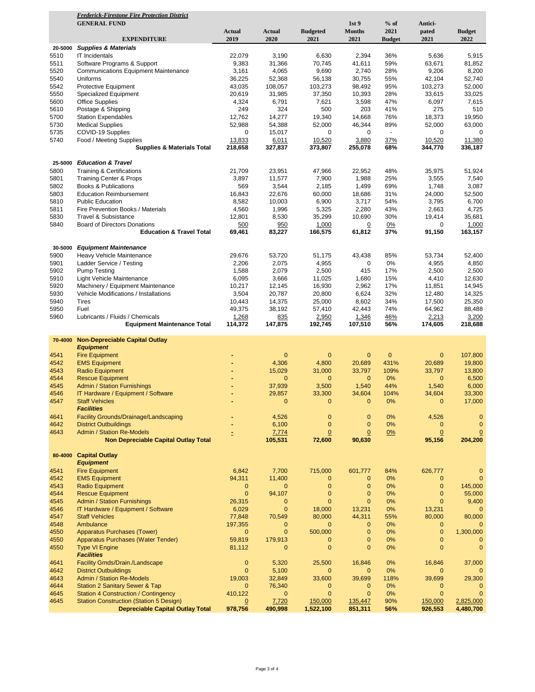|         | <b>Frederick-Firestone Fire Protection District</b> |                |              |                 |                  |                    |                |                |
|---------|-----------------------------------------------------|----------------|--------------|-----------------|------------------|--------------------|----------------|----------------|
|         | <b>GENERAL FUND</b>                                 |                |              |                 | 1st <sub>9</sub> | $%$ of             | Antici-        |                |
|         |                                                     | <b>Actual</b>  | Actual       | <b>Budgeted</b> | <b>Months</b>    | 2021               | pated          | <b>Budget</b>  |
|         | <b>EXPENDITURE</b>                                  | 2019           | 2020         | 2021            | 2021             | <b>Budget</b>      | 2021           | 2022           |
| 20-5000 | <b>Supplies &amp; Materials</b>                     |                |              |                 |                  |                    |                |                |
| 5510    | IT Incidentals                                      | 22,079         | 3,190        | 6,630           | 2,394            | 36%                | 5,636          | 5,915          |
| 5511    | Software Programs & Support                         | 9,383          | 31,366       | 70,745          | 41,611           | 59%                | 63,671         | 81,852         |
| 5520    | <b>Communications Equipment Maintenance</b>         | 3,161          | 4,065        | 9,690           | 2,740            | 28%                | 9,206          | 8,200          |
| 5540    | Uniforms                                            | 36,225         | 52,368       | 56,138          | 30,755           | 55%                | 42,104         | 52,740         |
| 5542    | Protective Equipment                                | 43,035         | 108,057      | 103,273         | 98,492           | 95%                | 103,273        | 52,000         |
| 5550    | <b>Specialized Equipment</b>                        | 20,619         | 31,985       | 37,350          | 10,393           | 28%                | 33,615         | 33,025         |
| 5600    | <b>Office Supplies</b>                              | 4,324          | 6,791        | 7,621           | 3,598            | 47%                | 6,097          | 7,615          |
| 5610    | Postage & Shipping                                  | 249            | 324          | 500             | 203              | 41%                | 275            | 510            |
| 5700    | <b>Station Expendables</b>                          | 12,762         | 14,277       | 19,340          | 14,668           | 76%                | 18,373         | 19,950         |
| 5730    | <b>Medical Supplies</b>                             | 52,988         | 54,388       | 52,000          | 46,344           | 89%                | 52,000         | 63,000         |
| 5735    | COVID-19 Supplies                                   | 0              | 15,017       | 0               | 0                | $\hat{\mathbf{r}}$ | 0              | 0              |
| 5740    | Food / Meeting Supplies                             | 13,833         | 6,011        | 10,520          | 3,880            | 37%                | 10,520         | 11,380         |
|         | <b>Supplies &amp; Materials Total</b>               | 218,658        | 327,837      | 373,807         | 255,078          | 68%                | 344,770        | 336,187        |
|         |                                                     |                |              |                 |                  |                    |                |                |
| 25-5000 | <b>Education &amp; Travel</b>                       |                |              |                 |                  |                    |                |                |
| 5800    | <b>Training &amp; Certifications</b>                | 21,709         | 23,951       | 47,966          | 22,952           | 48%                | 35,975         | 51,924         |
| 5801    | <b>Training Center &amp; Props</b>                  | 3,897          | 11,577       | 7,900           | 1,988            | 25%                | 3,555          | 7,540          |
| 5802    | Books & Publications                                | 569            | 3,544        | 2,185           | 1,499            | 69%                | 1,748          | 3,087          |
| 5803    | <b>Education Reimbursement</b>                      | 16,843         | 22,676       | 60,000          | 18,686           | 31%                | 24,000         | 52,500         |
| 5810    | <b>Public Education</b>                             | 8,582          | 10,003       | 6,900           | 3,717            | 54%                | 3,795          | 6,700          |
| 5811    | Fire Prevention Books / Materials                   | 4,560          | 1,996        | 5,325           | 2,280            | 43%                | 2,663          | 4,725          |
| 5830    | Travel & Subsistance                                | 12,801         | 8,530        | 35,299          | 10,690           | 30%                | 19,414         | 35,681         |
| 5840    | <b>Board of Directors Donations</b>                 | 500            | 950          | 1,000           | $\overline{0}$   | 0%                 | 0              | 1,000          |
|         | <b>Education &amp; Travel Total</b>                 | 69,461         | 83,227       | 166,575         | 61,812           | 37%                | 91,150         | 163,157        |
|         |                                                     |                |              |                 |                  |                    |                |                |
| 30-5000 | <b>Equipment Maintenance</b>                        |                |              |                 |                  |                    |                |                |
| 5900    | Heavy Vehicle Maintenance                           | 29,676         | 53,720       | 51,175          | 43,438           | 85%                | 53,734         | 52,400         |
| 5901    | Ladder Service / Testing                            | 2,206          | 2,075        | 4,955           | 0                | 0%                 | 4,955          | 4,850          |
| 5902    | <b>Pump Testing</b>                                 | 1,588          | 2,079        | 2,500           | 415              | 17%                | 2,500          | 2,500          |
| 5910    | Light Vehicle Maintenance                           | 6,095          | 3,666        | 11,025          | 1,680            | 15%                | 4,410          | 12,630         |
| 5920    | Machinery / Equipment Maintenance                   | 10,217         | 12,145       | 16,930          | 2,962            | 17%                | 11,851         | 14,945         |
| 5930    | Vehicle Modifications / Installations               | 3,504          | 20,787       | 20,800          | 6,624            | 32%                | 12,480         | 14,325         |
| 5940    | <b>Tires</b>                                        | 10,443         | 14,375       | 25,000          | 8,602            | 34%                | 17,500         | 25,350         |
| 5950    | Fuel                                                | 49,375         | 38,192       | 57,410          | 42,443           | 74%                | 64,962         | 88,488         |
| 5960    | Lubricants / Fluids / Chemicals                     | 1,268          | 835          | 2,950           | 1,346            | 46%                | 2,213          | 3,200          |
|         | <b>Equipment Maintenance Total</b>                  | 114,372        | 147,875      | 192,745         | 107,510          | 56%                | 174,605        | 218,688        |
|         |                                                     |                |              |                 |                  |                    |                |                |
| 70-4000 | <b>Non-Depreciable Capital Outlay</b>               |                |              |                 |                  |                    |                |                |
|         | <b>Equipment</b>                                    |                |              |                 |                  |                    |                |                |
| 4541    | <b>Fire Equipment</b>                               |                | 0            | 0               | 0                | $\mathbf{0}$       | $\mathbf{0}$   | 107,800        |
| 4542    | <b>EMS Equipment</b>                                |                | 4,306        | 4,800           | 20,689           | 431%               | 20,689         | 19,800         |
| 4543    | <b>Radio Equipment</b>                              | ۰              | 15,029       | 31,000          | 33,797           | 109%               | 33,797         | 13,800         |
| 4544    | <b>Rescue Equipment</b>                             |                | $\mathbf{0}$ | 0               | $\mathbf{0}$     | $0\%$              | $\mathbf 0$    | 6,500          |
| 4545    | <b>Admin / Station Furnishings</b>                  |                | 37,939       | 3,500           | 1,540            | 44%                | 1,540          | 6,000          |
| 4546    | IT Hardware / Equipment / Software                  |                | 29,857       | 33,300          | 34,604           | 104%               | 34,604         | 33,300         |
| 4547    | <b>Staff Vehicles</b>                               |                | $\mathbf{0}$ | $\mathbf{0}$    | $\mathbf{0}$     | 0%                 | $\mathbf 0$    | 17,000         |
|         | <b>Facilities</b>                                   |                |              |                 |                  |                    |                |                |
| 4641    | Facility Grounds/Drainage/Landscaping               |                | 4,526        | 0               | $\mathbf{0}$     | 0%                 | 4,526          | $\mathbf{0}$   |
| 4642    | <b>District Outbuildings</b>                        |                | 6,100        | $\mathbf 0$     | $\mathbf{0}$     | 0%                 | $\mathbf{0}$   | $\mathbf{0}$   |
| 4643    | <b>Admin / Station Re-Models</b>                    |                | 7,774        | $\overline{0}$  | $\overline{0}$   | 0%                 | $\overline{0}$ | $\overline{0}$ |
|         | <b>Non Depreciable Capital Outlay Total</b>         |                | 105,531      | 72,600          | 90,630           |                    | 95,156         | 204,200        |
|         |                                                     |                |              |                 |                  |                    |                |                |
|         | 80-4000 Capital Outlay                              |                |              |                 |                  |                    |                |                |
|         | <b>Equipment</b>                                    |                |              |                 |                  |                    |                |                |
| 4541    | <b>Fire Equipment</b>                               | 6,842          | 7,700        | 715,000         | 601,777          | 84%                | 626,777        | $\mathbf{0}$   |
| 4542    | <b>EMS Equipment</b>                                | 94,311         | 11,400       | 0               | $\mathbf{0}$     | 0%                 | $\mathbf{0}$   | $\overline{0}$ |
| 4543    | <b>Radio Equipment</b>                              | 0              | 0            | $\mathbf 0$     | $\mathbf{0}$     | 0%                 | $\mathbf{0}$   | 145,000        |
| 4544    | <b>Rescue Equipment</b>                             | $\mathbf 0$    | 94,107       | $\mathbf 0$     | $\mathbf{0}$     | 0%                 | $\mathbf{0}$   | 55,000         |
| 4545    | <b>Admin / Station Furnishings</b>                  | 26,315         | $\mathbf{0}$ | $\overline{0}$  | $\mathbf{0}$     | 0%                 | $\mathbf{0}$   | 9,400          |
| 4546    | IT Hardware / Equipment / Software                  | 6,029          | $\mathbf{0}$ | 18,000          | 13,231           | 0%                 | 13,231         | $\mathbf 0$    |
| 4547    | <b>Staff Vehicles</b>                               | 77,848         | 70,549       | 80,000          | 44,311           | 55%                | 80,000         | 80,000         |
| 4548    | Ambulance                                           | 197,355        | $\mathbf{0}$ | $\mathbf{0}$    | $\mathbf{0}$     | 0%                 | $\mathbf{0}$   | $\mathbf{0}$   |
| 4550    | <b>Apparatus Purchases (Tower)</b>                  | $\mathbf{0}$   | $\mathbf{0}$ | 500,000         | $\mathbf{0}$     | 0%                 | $\mathbf{0}$   | 1,300,000      |
| 4550    | Apparatus Purchases (Water Tender)                  | 59,819         | 179,913      | $\mathbf{0}$    | $\mathbf{0}$     | 0%                 | $\mathbf{0}$   | $\mathbf 0$    |
| 4550    | <b>Type VI Engine</b>                               | 81,112         | $\mathbf{0}$ | $\mathbf 0$     | $\overline{0}$   | 0%                 | $\mathbf{0}$   | $\mathbf{0}$   |
|         | <b>Facilities</b>                                   |                |              |                 |                  |                    |                |                |
| 4641    | Facility Grnds/Drain./Landscape                     | 0              | 5,320        | 25,500          | 16,846           | 0%                 | 16,846         | 37,000         |
| 4642    | <b>District Outbuildings</b>                        | $\mathbf{0}$   | 5,100        | 0               | $\mathbf{0}$     | 0%                 | $\mathbf{0}$   |                |
| 4643    | <b>Admin / Station Re-Models</b>                    | 19,003         | 32,849       | 33,600          | 39,699           | 118%               | 39,699         | 29,300         |
| 4644    | <b>Station 2 Sanitary Sewer &amp; Tap</b>           | $\mathbf{0}$   | 76,340       | 0               | 0                | 0%                 | $\mathbf 0$    | $\mathbf{0}$   |
| 4645    | <b>Station 4 Construction / Contingency</b>         | 410,122        | $\mathbf{0}$ | $\mathbf 0$     | $\mathbf{0}$     | 0%                 | $\mathbf{0}$   | $\mathbf{0}$   |
| 4645    | <b>Station Construction (Station 5 Design)</b>      | $\overline{0}$ | 7,720        | 150,000         | 135,447          | 90%                | 150,000        | 2,825,000      |
|         | <b>Depreciable Capital Outlay Total</b>             | 978,756        | 490,998      | 1,522,100       | 851,311          | 56%                | 926,553        | 4,480,700      |